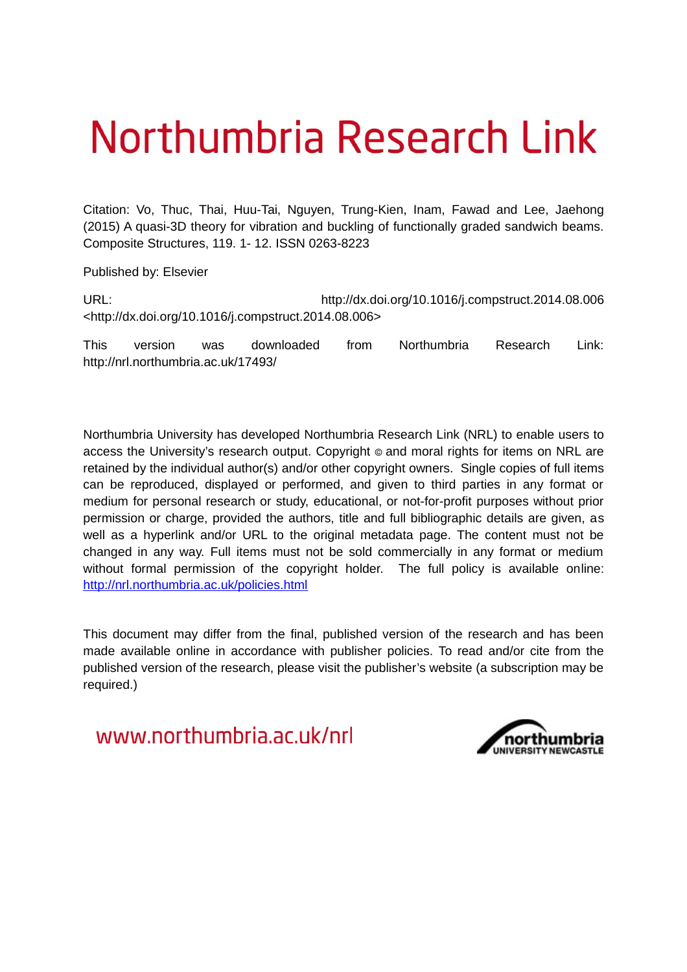# Northumbria Research Link

Citation: Vo, Thuc, Thai, Huu-Tai, Nguyen, Trung-Kien, Inam, Fawad and Lee, Jaehong (2015) A quasi-3D theory for vibration and buckling of functionally graded sandwich beams. Composite Structures, 119. 1- 12. ISSN 0263-8223

Published by: Elsevier

URL: http://dx.doi.org/10.1016/j.compstruct.2014.08.006 <http://dx.doi.org/10.1016/j.compstruct.2014.08.006>

This version was downloaded from Northumbria Research Link: http://nrl.northumbria.ac.uk/17493/

Northumbria University has developed Northumbria Research Link (NRL) to enable users to access the University's research output. Copyright  $\circ$  and moral rights for items on NRL are retained by the individual author(s) and/or other copyright owners. Single copies of full items can be reproduced, displayed or performed, and given to third parties in any format or medium for personal research or study, educational, or not-for-profit purposes without prior permission or charge, provided the authors, title and full bibliographic details are given, as well as a hyperlink and/or URL to the original metadata page. The content must not be changed in any way. Full items must not be sold commercially in any format or medium without formal permission of the copyright holder. The full policy is available online: <http://nrl.northumbria.ac.uk/policies.html>

This document may differ from the final, published version of the research and has been made available online in accordance with publisher policies. To read and/or cite from the published version of the research, please visit the publisher's website (a subscription may be required.)

www.northumbria.ac.uk/nrl

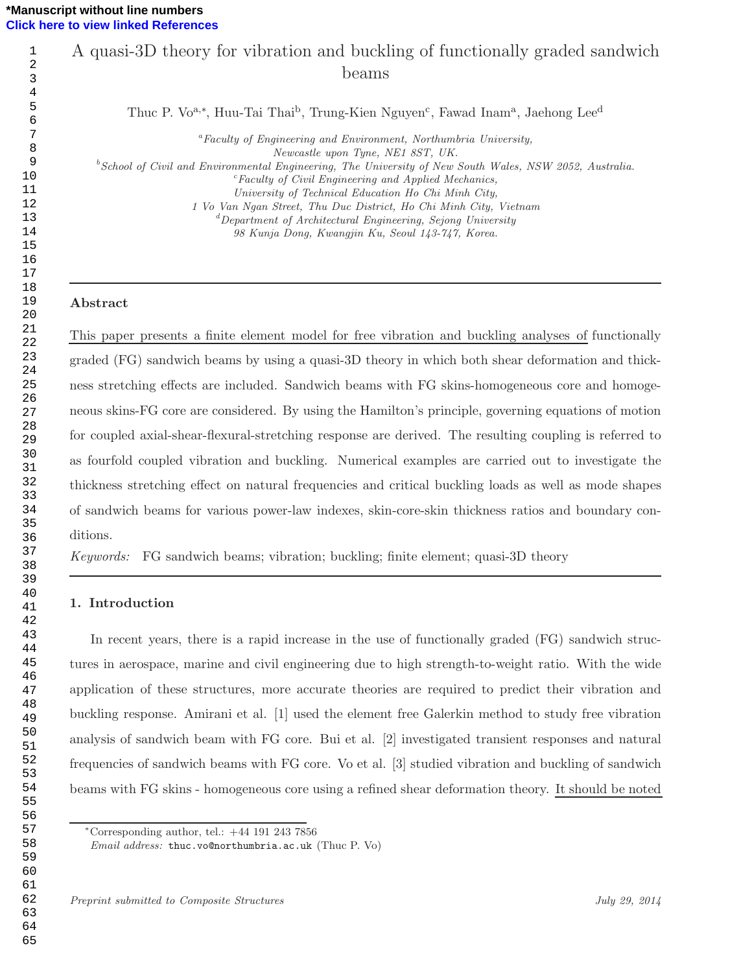# A quasi-3D theory for vibration and buckling of functionally graded sandwich beams

Thuc P. Vo<sup>a,∗</sup>, Huu-Tai Thai<sup>b</sup>, Trung-Kien Nguyen<sup>c</sup>, Fawad Inam<sup>a</sup>, Jaehong Lee<sup>d</sup>

<sup>a</sup>*Faculty of Engineering and Environment, Northumbria University, Newcastle upon Tyne, NE1 8ST, UK.* <sup>b</sup>*School of Civil and Environmental Engineering, The University of New South Wales, NSW 2052, Australia.* <sup>c</sup>*Faculty of Civil Engineering and Applied Mechanics, University of Technical Education Ho Chi Minh City, 1 Vo Van Ngan Street, Thu Duc District, Ho Chi Minh City, Vietnam* <sup>d</sup>*Department of Architectural Engineering, Sejong University 98 Kunja Dong, Kwangjin Ku, Seoul 143-747, Korea.*

### Abstract

This paper presents a finite element model for free vibration and buckling analyses of functionally graded (FG) sandwich beams by using a quasi-3D theory in which both shear deformation and thickness stretching effects are included. Sandwich beams with FG skins-homogeneous core and homogeneous skins-FG core are considered. By using the Hamilton's principle, governing equations of motion for coupled axial-shear-flexural-stretching response are derived. The resulting coupling is referred to as fourfold coupled vibration and buckling. Numerical examples are carried out to investigate the thickness stretching effect on natural frequencies and critical buckling loads as well as mode shapes of sandwich beams for various power-law indexes, skin-core-skin thickness ratios and boundary conditions.

*Keywords:* FG sandwich beams; vibration; buckling; finite element; quasi-3D theory

## 1. Introduction

In recent years, there is a rapid increase in the use of functionally graded (FG) sandwich structures in aerospace, marine and civil engineering due to high strength-to-weight ratio. With the wide application of these structures, more accurate theories are required to predict their vibration and buckling response. Amirani et al. [1] used the element free Galerkin method to study free vibration analysis of sandwich beam with FG core. Bui et al. [2] investigated transient responses and natural frequencies of sandwich beams with FG core. Vo et al. [3] studied vibration and buckling of sandwich beams with FG skins - homogeneous core using a refined shear deformation theory. It should be noted

<sup>∗</sup>Corresponding author, tel.: +44 191 243 7856

*Email address:* thuc.vo@northumbria.ac.uk (Thuc P. Vo)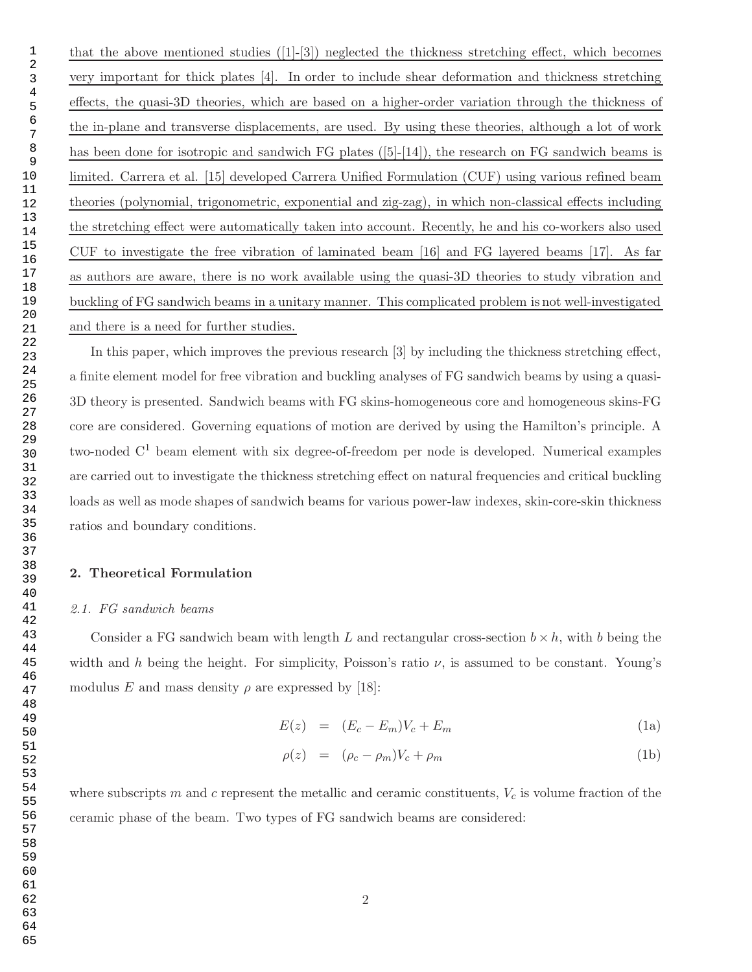that the above mentioned studies  $([1]-[3])$  neglected the thickness stretching effect, which becomes very important for thick plates [4]. In order to include shear deformation and thickness stretching effects, the quasi-3D theories, which are based on a higher-order variation through the thickness of the in-plane and transverse displacements, are used. By using these theories, although a lot of work has been done for isotropic and sandwich  $FG$  plates  $([5]-[14])$ , the research on  $FG$  sandwich beams is limited. Carrera et al. [15] developed Carrera Unified Formulation (CUF) using various refined beam theories (polynomial, trigonometric, exponential and zig-zag), in which non-classical effects including the stretching effect were automatically taken into account. Recently, he and his co-workers also used CUF to investigate the free vibration of laminated beam [16] and FG layered beams [17]. As far as authors are aware, there is no work available using the quasi-3D theories to study vibration and buckling of FG sandwich beams in a unitary manner. This complicated problem is not well-investigated and there is a need for further studies.

In this paper, which improves the previous research [3] by including the thickness stretching effect, a finite element model for free vibration and buckling analyses of FG sandwich beams by using a quasi-3D theory is presented. Sandwich beams with FG skins-homogeneous core and homogeneous skins-FG core are considered. Governing equations of motion are derived by using the Hamilton's principle. A two-noded  $C<sup>1</sup>$  beam element with six degree-of-freedom per node is developed. Numerical examples are carried out to investigate the thickness stretching effect on natural frequencies and critical buckling loads as well as mode shapes of sandwich beams for various power-law indexes, skin-core-skin thickness ratios and boundary conditions.

## 2. Theoretical Formulation

#### *2.1. FG sandwich beams*

Consider a FG sandwich beam with length L and rectangular cross-section  $b \times h$ , with b being the width and h being the height. For simplicity, Poisson's ratio  $\nu$ , is assumed to be constant. Young's modulus E and mass density  $\rho$  are expressed by [18]:

$$
E(z) = (E_c - E_m)V_c + E_m \tag{1a}
$$

$$
\rho(z) = (\rho_c - \rho_m)V_c + \rho_m \tag{1b}
$$

where subscripts m and c represent the metallic and ceramic constituents,  $V_c$  is volume fraction of the ceramic phase of the beam. Two types of FG sandwich beams are considered: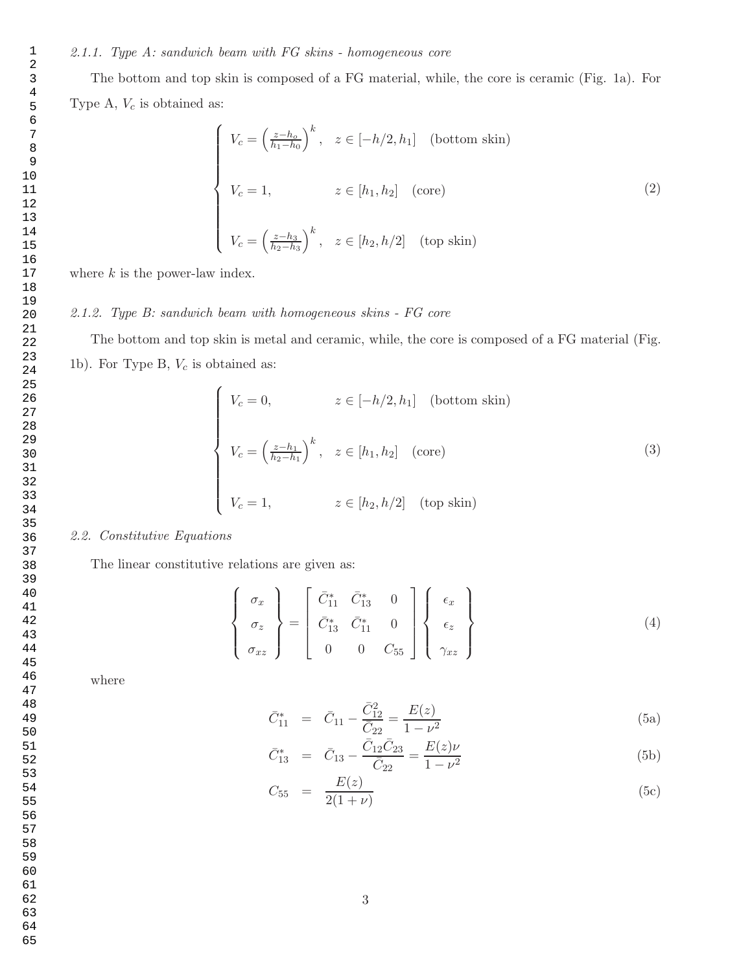The bottom and top skin is composed of a FG material, while, the core is ceramic (Fig. 1a). For Type A,  $V_c$  is obtained as:

$$
\begin{cases}\nV_c = \left(\frac{z - h_o}{h_1 - h_0}\right)^k, & z \in [-h/2, h_1] \quad \text{(bottom skin)} \\
V_c = 1, & z \in [h_1, h_2] \quad \text{(core)} \\
V_c = \left(\frac{z - h_3}{h_2 - h_3}\right)^k, & z \in [h_2, h/2] \quad \text{(top skin)}\n\end{cases}
$$
\n(2)

where  $k$  is the power-law index.

# *2.1.2. Type B: sandwich beam with homogeneous skins - FG core*

The bottom and top skin is metal and ceramic, while, the core is composed of a FG material (Fig. 1b). For Type B,  $V_c$  is obtained as:

$$
\begin{cases}\nV_c = 0, & z \in [-h/2, h_1] \quad \text{(bottom skin)} \\
V_c = \left(\frac{z - h_1}{h_2 - h_1}\right)^k, & z \in [h_1, h_2] \quad \text{(core)} \\
V_c = 1, & z \in [h_2, h/2] \quad \text{(top skin)}\n\end{cases}
$$
\n(3)

# *2.2. Constitutive Equations*

The linear constitutive relations are given as:

 $\sqrt{ }$  $\int$ 

 $\overline{\mathcal{L}}$ 

$$
\begin{pmatrix}\n\sigma_x \\
\sigma_z \\
\sigma_{xz}\n\end{pmatrix} = \begin{bmatrix}\n\bar{C}_{11}^* & \bar{C}_{13}^* & 0 \\
\bar{C}_{13}^* & \bar{C}_{11}^* & 0 \\
0 & 0 & C_{55}\n\end{bmatrix} \begin{Bmatrix}\n\epsilon_x \\
\epsilon_z \\
\gamma_{xz}\n\end{Bmatrix}
$$
\n(4)

where

$$
\bar{C}_{11}^* = \bar{C}_{11} - \frac{\bar{C}_{12}^2}{\bar{C}_{22}} = \frac{E(z)}{1 - \nu^2}
$$
\n(5a)

$$
\bar{C}_{13}^* = \bar{C}_{13} - \frac{\bar{C}_{12}\bar{C}_{23}}{\bar{C}_{22}} = \frac{E(z)\nu}{1 - \nu^2}
$$
\n(5b)

$$
C_{55} = \frac{E(z)}{2(1+\nu)}\tag{5c}
$$

- 59 60
- 61
- 62
- 63 64
- 65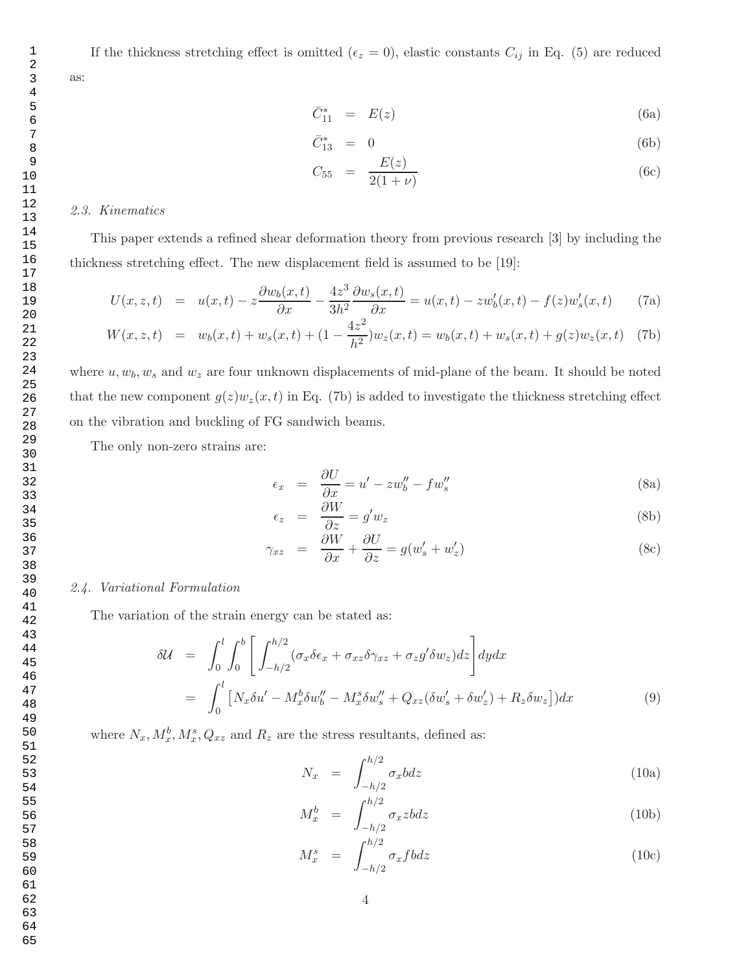If the thickness stretching effect is omitted ( $\epsilon_z = 0$ ), elastic constants  $C_{ij}$  in Eq. (5) are reduced

$$
\bar{C}_{11}^* = E(z) \tag{6a}
$$

$$
\bar{C}_{13}^* = 0 \tag{6b}
$$

$$
C_{55} = \frac{E(z)}{2(1+\nu)} \tag{6c}
$$

#### *2.3. Kinematics*

as:

This paper extends a refined shear deformation theory from previous research [3] by including the thickness stretching effect. The new displacement field is assumed to be [19]:

$$
U(x,z,t) = u(x,t) - z\frac{\partial w_b(x,t)}{\partial x} - \frac{4z^3}{3h^2}\frac{\partial w_s(x,t)}{\partial x} = u(x,t) - zw'_b(x,t) - f(z)w'_s(x,t)
$$
 (7a)

$$
W(x, z, t) = w_b(x, t) + w_s(x, t) + (1 - \frac{4z^2}{h^2})w_z(x, t) = w_b(x, t) + w_s(x, t) + g(z)w_z(x, t)
$$
 (7b)

where  $u, w_b, w_s$  and  $w_z$  are four unknown displacements of mid-plane of the beam. It should be noted that the new component  $g(z)w_z(x, t)$  in Eq. (7b) is added to investigate the thickness stretching effect on the vibration and buckling of FG sandwich beams.

The only non-zero strains are:

$$
\epsilon_x = \frac{\partial U}{\partial x} = u' - zw''_b - fw''_s \tag{8a}
$$

$$
\epsilon_z = \frac{\partial W}{\partial z} = g' w_z \tag{8b}
$$

$$
\gamma_{xz} = \frac{\partial W}{\partial x} + \frac{\partial U}{\partial z} = g(w_s' + w_z')
$$
\n(8c)

# *2.4. Variational Formulation*

The variation of the strain energy can be stated as:

$$
\delta \mathcal{U} = \int_0^l \int_0^b \left[ \int_{-h/2}^{h/2} (\sigma_x \delta \epsilon_x + \sigma_{xz} \delta \gamma_{xz} + \sigma_z g' \delta w_z) dz \right] dy dx
$$
  

$$
= \int_0^l \left[ N_x \delta u' - M_x^b \delta w_b'' - M_x^s \delta w_s'' + Q_{xz} (\delta w_s' + \delta w_z') + R_z \delta w_z \right] ) dx
$$
(9)

where  $N_x, M_x^b, M_x^s, Q_{xz}$  and  $R_z$  are the stress resultants, defined as:

$$
N_x = \int_{-h/2}^{h/2} \sigma_x b dz \tag{10a}
$$

$$
M_x^b = \int_{-h/2}^{h/2} \sigma_x z b dz
$$
 (10b)

$$
M_x^s = \int_{-h/2}^{h/2} \sigma_x f b dz
$$
 (10c)

4

64

65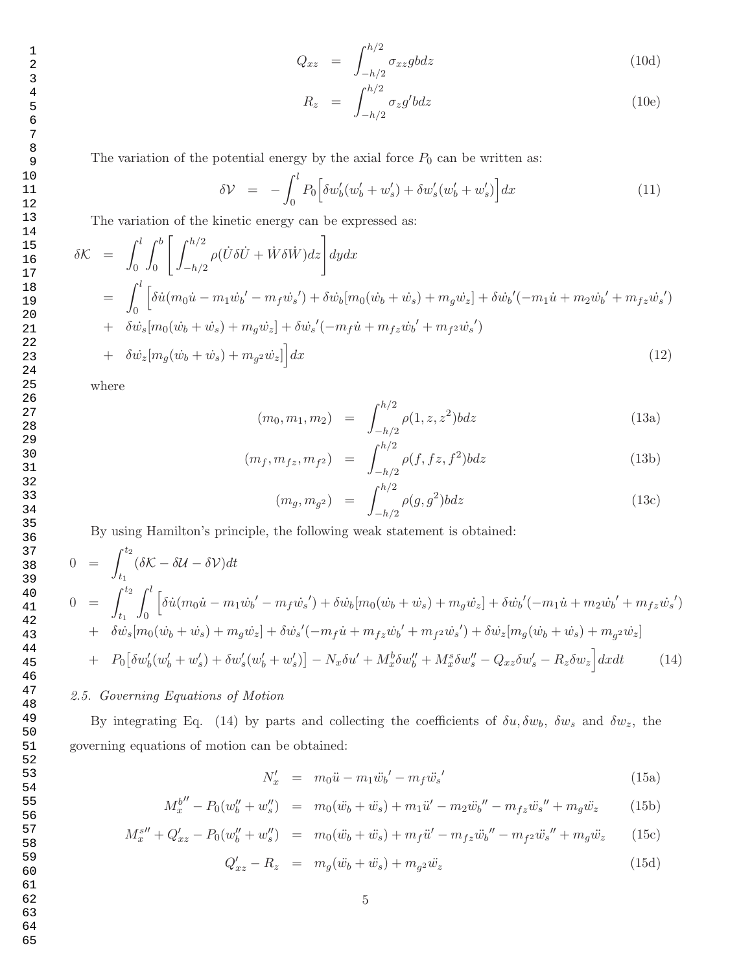65

$$
Q_{xz} = \int_{-h/2}^{h/2} \sigma_{xz} g b dz
$$
 (10d)

$$
R_z = \int_{-h/2}^{h/2} \sigma_z g' b dz \tag{10e}
$$

The variation of the potential energy by the axial force  $P_0$  can be written as:

$$
\delta \mathcal{V} = -\int_0^l P_0 \Big[ \delta w_b'(w_b' + w_s') + \delta w_s'(w_b' + w_s') \Big] dx \tag{11}
$$

The variation of the kinetic energy can be expressed as:

$$
\delta \mathcal{K} = \int_0^l \int_0^b \left[ \int_{-h/2}^{h/2} \rho(\dot{U}\delta\dot{U} + \dot{W}\delta\dot{W})dz \right] dydx
$$
  
\n
$$
= \int_0^l \left[ \delta \dot{u} (m_0 \dot{u} - m_1 \dot{w}_b' - m_f \dot{w}_s') + \delta \dot{w}_b [m_0(\dot{w}_b + \dot{w}_s) + m_g \dot{w}_z] + \delta \dot{w}_b' (-m_1 \dot{u} + m_2 \dot{w}_b' + m_f z \dot{w}_s') \right. \\ + \delta \dot{w}_s [m_0(\dot{w}_b + \dot{w}_s) + m_g \dot{w}_z] + \delta \dot{w}_s' (-m_f \dot{u} + m_f z \dot{w}_b' + m_f z \dot{w}_s') \\ + \delta \dot{w}_z [m_g(\dot{w}_b + \dot{w}_s) + m_g z \dot{w}_z] \right] dx
$$
\n(12)

where

$$
(m_0, m_1, m_2) = \int_{-h/2}^{h/2} \rho(1, z, z^2) b dz
$$
 (13a)

$$
(m_f, m_{fz}, m_{f^2}) = \int_{-h/2}^{h/2} \rho(f, fz, f^2) b dz
$$
 (13b)

$$
(m_g, m_{g^2}) = \int_{-h/2}^{h/2} \rho(g, g^2) b dz
$$
 (13c)

By using Hamilton's principle, the following weak statement is obtained:

$$
0 = \int_{t_1}^{t_2} (\delta \mathcal{K} - \delta \mathcal{U} - \delta \mathcal{V}) dt
$$
  
\n
$$
0 = \int_{t_1}^{t_2} \int_0^l \left[ \delta \dot{u} (m_0 \dot{u} - m_1 \dot{w}_b' - m_f \dot{w}_s') + \delta \dot{w}_b [m_0 (\dot{w}_b + \dot{w}_s) + m_g \dot{w}_z] + \delta \dot{w}_b' (-m_1 \dot{u} + m_2 \dot{w}_b' + m_f z \dot{w}_s') \right]
$$
  
\n
$$
+ \delta \dot{w}_s [m_0 (\dot{w}_b + \dot{w}_s) + m_g \dot{w}_z] + \delta \dot{w}_s' (-m_f \dot{u} + m_f z \dot{w}_b' + m_f z \dot{w}_s') + \delta \dot{w}_z [m_g (\dot{w}_b + \dot{w}_s) + m_g z \dot{w}_z]
$$
  
\n
$$
+ P_0 [\delta w'_b (w'_b + w'_s) + \delta w'_s (w'_b + w'_s)] - N_x \delta u' + M_x^b \delta w''_b + M_x^s \delta w''_s - Q_{xz} \delta w'_s - R_z \delta w_z] dx dt
$$
(14)

# *2.5. Governing Equations of Motion*

By integrating Eq. (14) by parts and collecting the coefficients of  $\delta u, \delta w_b, \delta w_s$  and  $\delta w_z$ , the governing equations of motion can be obtained:

$$
N'_x = m_0 \ddot{u} - m_1 \ddot{w}_b' - m_f \ddot{w}_s'
$$
 (15a)

$$
M_x^{b''} - P_0(w''_b + w''_s) = m_0(\ddot{w}_b + \ddot{w}_s) + m_1\ddot{u}' - m_2\ddot{w}_b'' - m_{fz}\ddot{w}_s'' + m_g\ddot{w}_z \qquad (15b)
$$

$$
M_x^{s''} + Q'_{xz} - P_0(w''_b + w''_s) = m_0(\ddot{w}_b + \ddot{w}_s) + m_f \ddot{u}' - m_{fz} \ddot{w}_b'' - m_{f2} \ddot{w}_s'' + m_g \ddot{w}_z \qquad (15c)
$$

$$
Q'_{xz} - R_z = m_g(\ddot{w}_b + \ddot{w}_s) + m_{g^2}\ddot{w}_z \tag{15d}
$$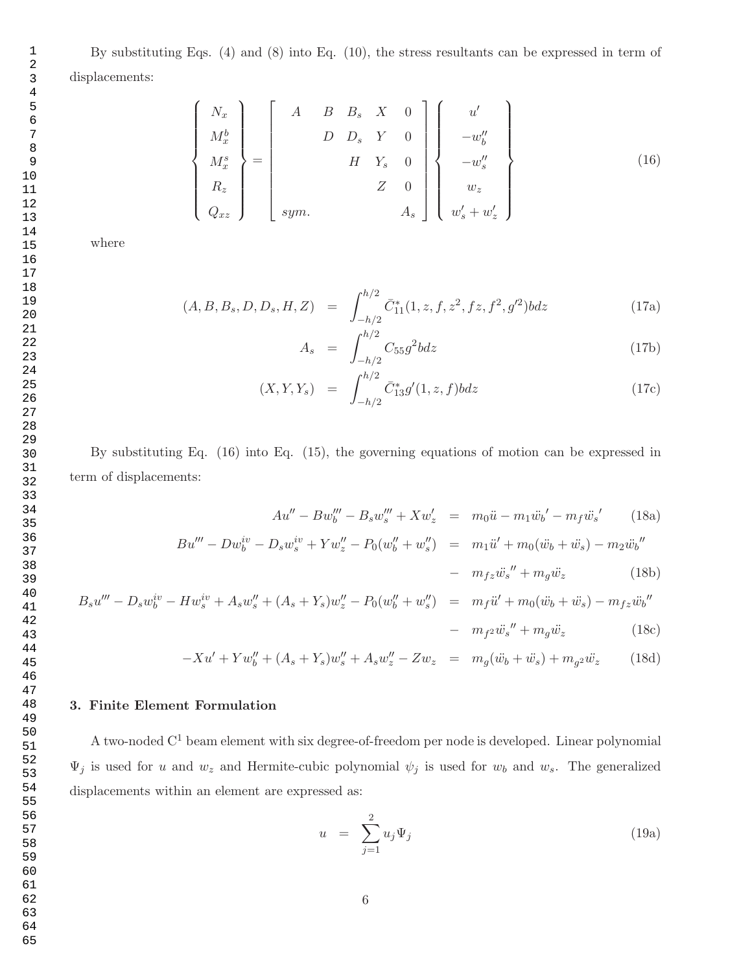By substituting Eqs. (4) and (8) into Eq. (10), the stress resultants can be expressed in term of displacements:

$$
\begin{bmatrix}\nN_x \\
M_x^b \\
M_x^s \\
R_z \\
Q_{xz}\n\end{bmatrix} = \begin{bmatrix}\nA & B & B_s & X & 0 \\
D & D_s & Y & 0 \\
H & Y_s & 0 \\
H & Y_s & 0 \\
Z & 0 & 0 \\
\vdots & \vdots & \ddots & \vdots \\
Sym. & A_s\n\end{bmatrix} \begin{bmatrix}\nu' \\
-w''_b \\
-w''_b \\
w_z \\
w_z \\
w'_s + w'_z\n\end{bmatrix}
$$
\n(16)

where

 $\sqrt{ }$ 

 $\begin{array}{c} \hline \end{array}$ 

 $\begin{array}{c} \hline \end{array}$ 

$$
(A, B, B_s, D, D_s, H, Z) = \int_{-h/2}^{h/2} \bar{C}_{11}^*(1, z, f, z^2, fz, f^2, g'^2) b dz
$$
 (17a)

$$
A_s = \int_{-h/2}^{h/2} C_{55} g^2 b dz
$$
 (17b)

$$
(X, Y, Y_s) = \int_{-h/2}^{h/2} \bar{C}_{13}^* g'(1, z, f) b dz
$$
 (17c)

By substituting Eq. (16) into Eq. (15), the governing equations of motion can be expressed in term of displacements:

$$
Au'' - Bw'''_b - B_s w'''_s + Xw'_z = m_0 \ddot{u} - m_1 \ddot{w}_b' - m_f \ddot{w}_s'
$$
 (18a)

$$
Bu''' - Dw_b^{iv} - D_s w_s^{iv} + Y w_z'' - P_0(w_b'' + w_s'') = m_1 \ddot{u}' + m_0 (\ddot{w}_b + \ddot{w}_s) - m_2 \ddot{w}_b''
$$

$$
- \quad m_{fz}\ddot{w_s}'' + m_g\ddot{w_z} \tag{18b}
$$

$$
B_s u''' - D_s w_b^{iv} - H w_s^{iv} + A_s w_s'' + (A_s + Y_s) w_z'' - P_0 (w_b'' + w_s'') = m_f \ddot{u}' + m_0 (\ddot{w}_b + \ddot{w}_s) - m_{fz} \ddot{w}_b'' - m_{fz} \ddot{w}_s'' + m_g \ddot{w}_z
$$
(18c)

$$
-Xu' + Yw''_b + (A_s + Y_s)w''_s + A_sw''_z - Zw_z = m_g(\ddot{w}_b + \ddot{w}_s) + m_g^2\ddot{w}_z \qquad (18d)
$$

# 3. Finite Element Formulation

A two-noded  $C^1$  beam element with six degree-of-freedom per node is developed. Linear polynomial  $\Psi_j$  is used for u and  $w_z$  and Hermite-cubic polynomial  $\psi_j$  is used for  $w_b$  and  $w_s$ . The generalized displacements within an element are expressed as:

$$
u = \sum_{j=1}^{2} u_j \Psi_j \tag{19a}
$$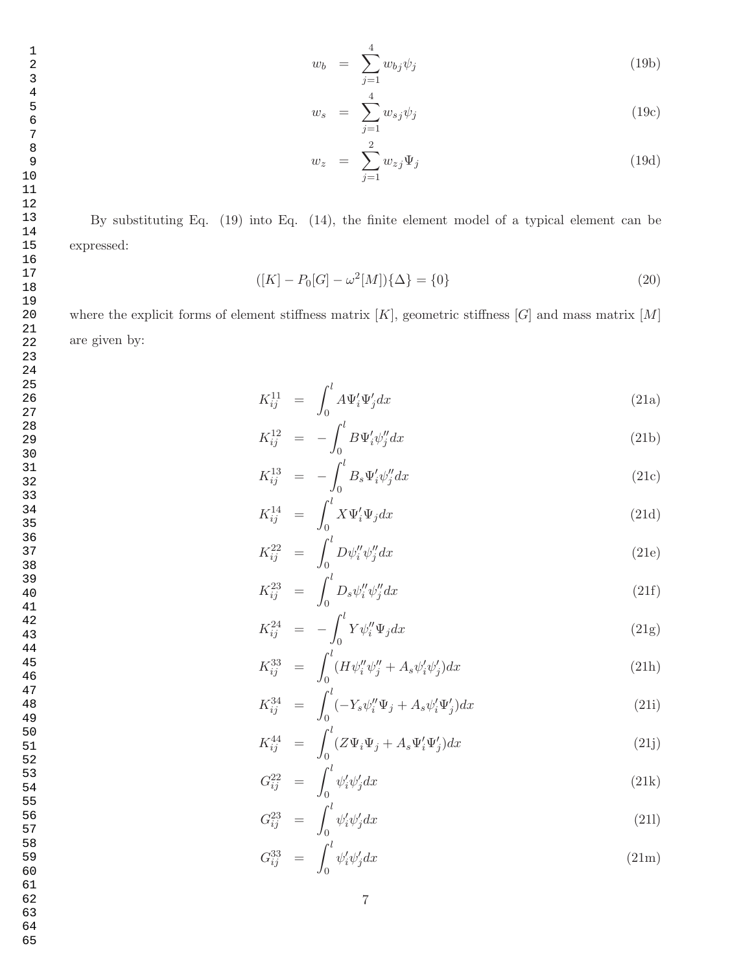$$
w_b = \sum_{j=1}^4 w_{bj} \psi_j \tag{19b}
$$

$$
w_s = \sum_{j=1}^4 w_{sj} \psi_j \tag{19c}
$$

$$
w_z = \sum_{j=1}^{2} w_{zj} \Psi_j \tag{19d}
$$

By substituting Eq. (19) into Eq. (14), the finite element model of a typical element can be expressed:

$$
([K] - P_0[G] - \omega^2[M])\{\Delta\} = \{0\}
$$
\n(20)

where the explicit forms of element stiffness matrix  $[K]$ , geometric stiffness  $[G]$  and mass matrix  $[M]$ are given by:

$$
K_{ij}^{11} = \int_0^l A \Psi_i' \Psi_j' dx \qquad (21a)
$$

$$
K_{ij}^{12} = -\int_0^t B\Psi_i' \psi_j'' dx \tag{21b}
$$

$$
K_{ij}^{13} = -\int_0^l B_s \Psi_i' \psi_j'' dx \qquad (21c)
$$

$$
K_{ij}^{14} = \int_0^t X \Psi_i' \Psi_j dx \tag{21d}
$$

$$
K_{ij}^{22} = \int_0^l D\psi_i'' \psi_j'' dx \qquad (21e)
$$

$$
K_{ij}^{23} = \int_0^l D_s \psi_i'' \psi_j'' dx \qquad (21f)
$$

$$
K_{ij}^{24} = -\int_0^l Y \psi_i'' \Psi_j dx \qquad (21g)
$$

$$
K_{ij}^{33} = \int_0^l (H\psi_i''\psi_j'' + A_s\psi_i'\psi_j')dx
$$
 (21h)

$$
K_{ij}^{34} = \int_0^l (-Y_s \psi_i'' \Psi_j + A_s \psi_i' \Psi_j') dx \tag{21i}
$$

$$
K_{ij}^{44} = \int_0^l (Z\Psi_i\Psi_j + A_s\Psi_i'\Psi_j')dx \tag{21j}
$$

$$
G_{ij}^{22} = \int_0^l \psi_i' \psi_j' dx \qquad (21k)
$$

$$
G_{ij}^{23} = \int_0^l \psi_i' \psi_j' dx \tag{211}
$$

$$
G_{ij}^{33} = \int_0^l \psi_i' \psi_j' dx \qquad (21\text{m})
$$

7

- 63 64
- 65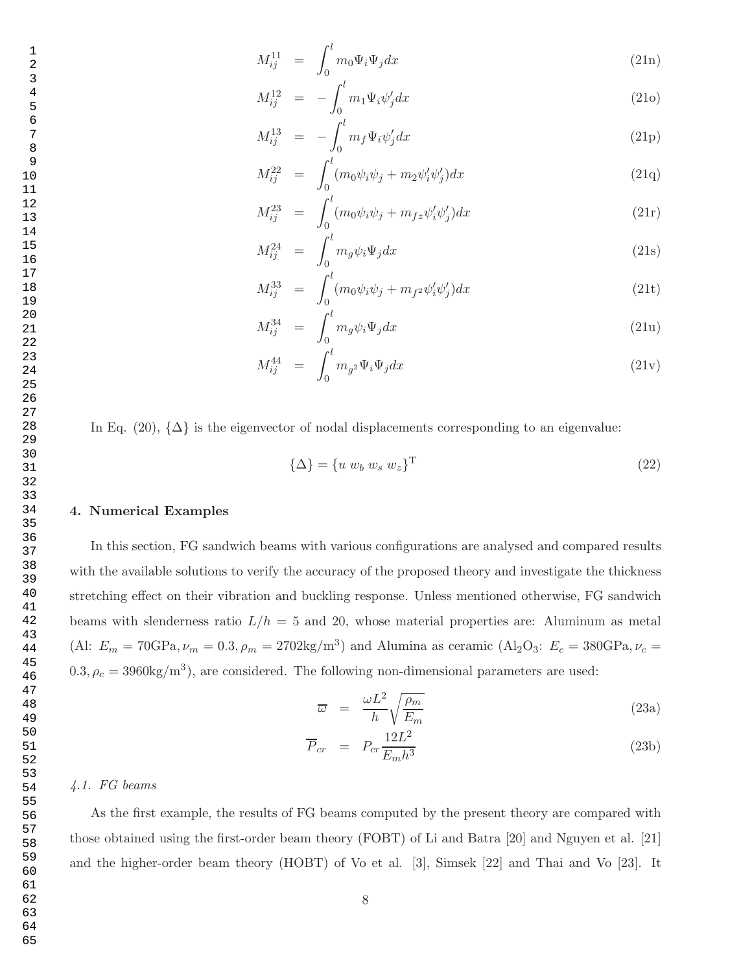$$
M_{ij}^{11} = \int_0^l m_0 \Psi_i \Psi_j dx \qquad (21n)
$$

$$
M_{ij}^{12} = -\int_0^l m_1 \Psi_i \psi'_j dx \tag{210}
$$

$$
M_{ij}^{13} = -\int_0^l m_f \Psi_i \psi_j' dx \qquad (21p)
$$

$$
M_{ij}^{22} = \int_0^l (m_0 \psi_i \psi_j + m_2 \psi_i' \psi_j') dx
$$
 (21q)

$$
M_{ij}^{23} = \int_0^l (m_0 \psi_i \psi_j + m_{fz} \psi_i' \psi_j') dx \qquad (21r)
$$

$$
M_{ij}^{24} = \int_0^l m_g \psi_i \Psi_j dx \qquad (21s)
$$

$$
M_{ij}^{33} = \int_0^l (m_0 \psi_i \psi_j + m_{f^2} \psi_i' \psi_j') dx \tag{21t}
$$

$$
M_{ij}^{34} = \int_0^l m_g \psi_i \Psi_j dx \qquad (21u)
$$

$$
M_{ij}^{44} = \int_0^l m_{g^2} \Psi_i \Psi_j dx \qquad (21v)
$$

In Eq. (20),  $\{\Delta\}$  is the eigenvector of nodal displacements corresponding to an eigenvalue:

$$
\{\Delta\} = \{u \ w_b \ w_s \ w_z\}^{\mathrm{T}} \tag{22}
$$

#### 4. Numerical Examples

In this section, FG sandwich beams with various configurations are analysed and compared results with the available solutions to verify the accuracy of the proposed theory and investigate the thickness stretching effect on their vibration and buckling response. Unless mentioned otherwise, FG sandwich beams with slenderness ratio  $L/h = 5$  and 20, whose material properties are: Aluminum as metal (Al:  $E_m = 70 \text{GPa}, \nu_m = 0.3, \rho_m = 2702 \text{kg/m}^3$ ) and Alumina as ceramic (Al<sub>2</sub>O<sub>3</sub>:  $E_c = 380 \text{GPa}, \nu_c =$  $(0.3, \rho_c = 3960 \text{kg/m}^3)$ , are considered. The following non-dimensional parameters are used:

$$
\overline{\omega} = \frac{\omega L^2}{h} \sqrt{\frac{\rho_m}{E_m}}
$$
\n(23a)

$$
\overline{P}_{cr} = P_{cr} \frac{12L^2}{E_m h^3} \tag{23b}
$$

# *4.1. FG beams*

As the first example, the results of FG beams computed by the present theory are compared with those obtained using the first-order beam theory (FOBT) of Li and Batra [20] and Nguyen et al. [21] and the higher-order beam theory (HOBT) of Vo et al. [3], Simsek [22] and Thai and Vo [23]. It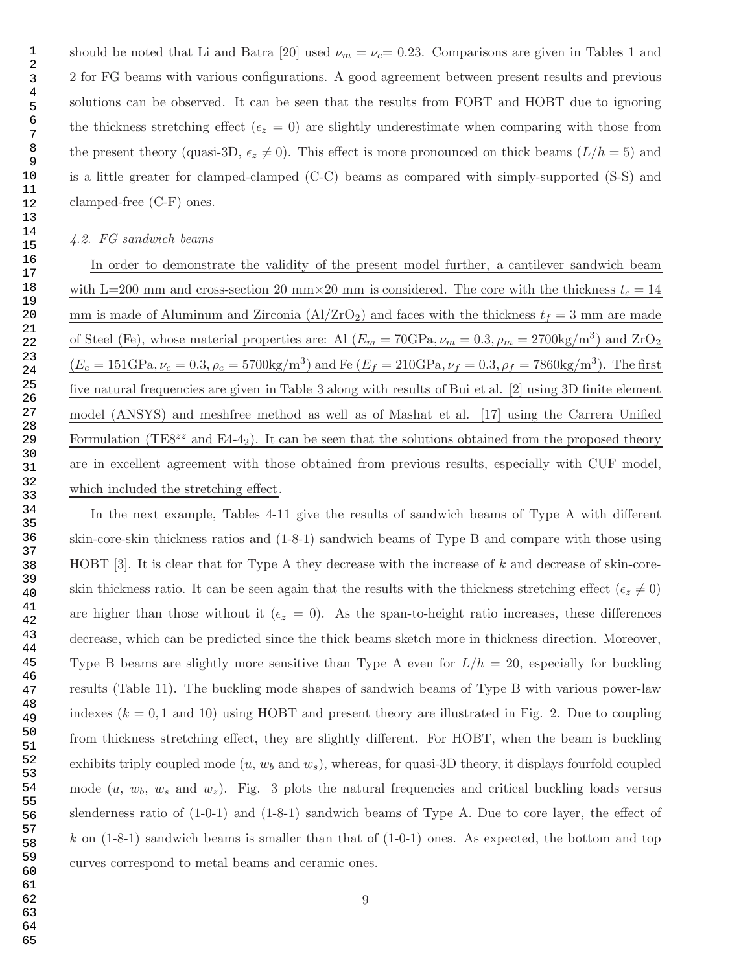should be noted that Li and Batra [20] used  $\nu_m = \nu_c = 0.23$ . Comparisons are given in Tables 1 and 2 for FG beams with various configurations. A good agreement between present results and previous solutions can be observed. It can be seen that the results from FOBT and HOBT due to ignoring the thickness stretching effect ( $\epsilon_z = 0$ ) are slightly underestimate when comparing with those from the present theory (quasi-3D,  $\epsilon_z \neq 0$ ). This effect is more pronounced on thick beams  $(L/h = 5)$  and is a little greater for clamped-clamped (C-C) beams as compared with simply-supported (S-S) and clamped-free (C-F) ones.

### *4.2. FG sandwich beams*

In order to demonstrate the validity of the present model further, a cantilever sandwich beam with L=200 mm and cross-section 20 mm×20 mm is considered. The core with the thickness  $t_c = 14$ mm is made of Aluminum and Zirconia ( $\text{Al}/\text{ZrO}_2$ ) and faces with the thickness  $t_f = 3$  mm are made of Steel (Fe), whose material properties are: Al  $(E_m = 70\text{GPa}, \nu_m = 0.3, \rho_m = 2700\text{kg/m}^3)$  and  $\text{ZrO}_2$  $(E_c = 151 \text{GPa}, \nu_c = 0.3, \rho_c = 5700 \text{kg/m}^3)$  and Fe  $(E_f = 210 \text{GPa}, \nu_f = 0.3, \rho_f = 7860 \text{kg/m}^3)$ . The first five natural frequencies are given in Table 3 along with results of Bui et al. [2] using 3D finite element model (ANSYS) and meshfree method as well as of Mashat et al. [17] using the Carrera Unified Formulation (TE8<sup> $zz$ </sup> and E4-4<sub>2</sub>). It can be seen that the solutions obtained from the proposed theory are in excellent agreement with those obtained from previous results, especially with CUF model, which included the stretching effect.

In the next example, Tables 4-11 give the results of sandwich beams of Type A with different skin-core-skin thickness ratios and (1-8-1) sandwich beams of Type B and compare with those using HOBT [3]. It is clear that for Type A they decrease with the increase of k and decrease of skin-coreskin thickness ratio. It can be seen again that the results with the thickness stretching effect ( $\epsilon_z \neq 0$ ) are higher than those without it ( $\epsilon_z = 0$ ). As the span-to-height ratio increases, these differences decrease, which can be predicted since the thick beams sketch more in thickness direction. Moreover, Type B beams are slightly more sensitive than Type A even for  $L/h = 20$ , especially for buckling results (Table 11). The buckling mode shapes of sandwich beams of Type B with various power-law indexes  $(k = 0, 1 \text{ and } 10)$  using HOBT and present theory are illustrated in Fig. 2. Due to coupling from thickness stretching effect, they are slightly different. For HOBT, when the beam is buckling exhibits triply coupled mode  $(u, w_b \text{ and } w_s)$ , whereas, for quasi-3D theory, it displays fourfold coupled mode  $(u, w_b, w_s$  and  $w_z$ ). Fig. 3 plots the natural frequencies and critical buckling loads versus slenderness ratio of (1-0-1) and (1-8-1) sandwich beams of Type A. Due to core layer, the effect of k on  $(1-8-1)$  sandwich beams is smaller than that of  $(1-0-1)$  ones. As expected, the bottom and top curves correspond to metal beams and ceramic ones.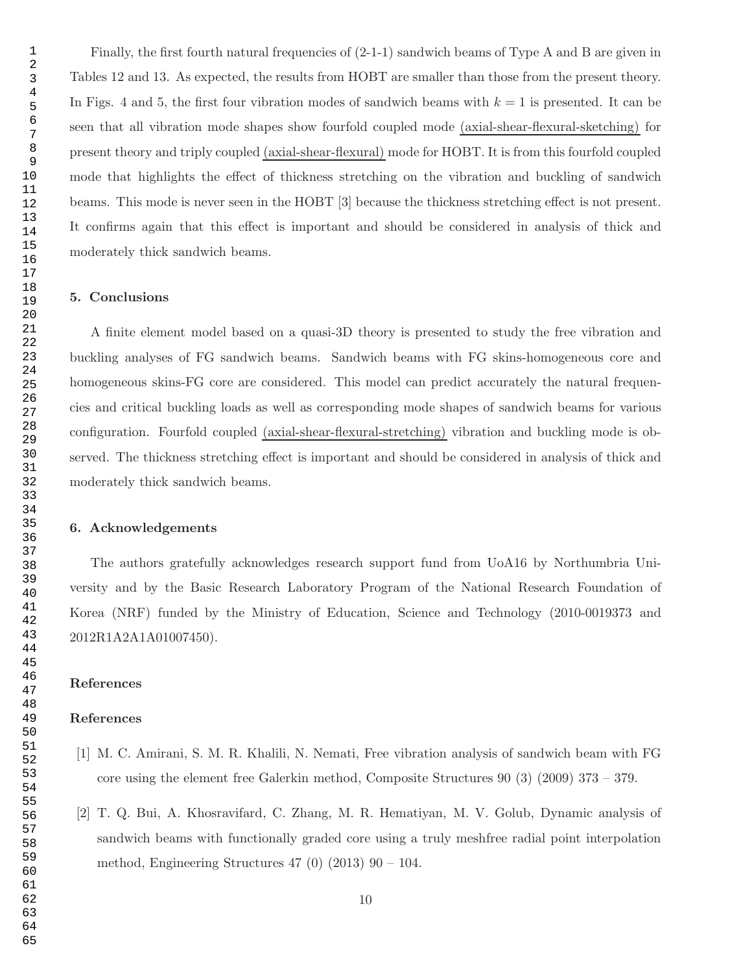Finally, the first fourth natural frequencies of (2-1-1) sandwich beams of Type A and B are given in Tables 12 and 13. As expected, the results from HOBT are smaller than those from the present theory. In Figs. 4 and 5, the first four vibration modes of sandwich beams with  $k = 1$  is presented. It can be seen that all vibration mode shapes show fourfold coupled mode (axial-shear-flexural-sketching) for present theory and triply coupled (axial-shear-flexural) mode for HOBT. It is from this fourfold coupled mode that highlights the effect of thickness stretching on the vibration and buckling of sandwich beams. This mode is never seen in the HOBT [3] because the thickness stretching effect is not present. It confirms again that this effect is important and should be considered in analysis of thick and moderately thick sandwich beams.

## 5. Conclusions

A finite element model based on a quasi-3D theory is presented to study the free vibration and buckling analyses of FG sandwich beams. Sandwich beams with FG skins-homogeneous core and homogeneous skins-FG core are considered. This model can predict accurately the natural frequencies and critical buckling loads as well as corresponding mode shapes of sandwich beams for various configuration. Fourfold coupled (axial-shear-flexural-stretching) vibration and buckling mode is observed. The thickness stretching effect is important and should be considered in analysis of thick and moderately thick sandwich beams.

### 6. Acknowledgements

The authors gratefully acknowledges research support fund from UoA16 by Northumbria University and by the Basic Research Laboratory Program of the National Research Foundation of Korea (NRF) funded by the Ministry of Education, Science and Technology (2010-0019373 and 2012R1A2A1A01007450).

# References

#### References

- [1] M. C. Amirani, S. M. R. Khalili, N. Nemati, Free vibration analysis of sandwich beam with FG core using the element free Galerkin method, Composite Structures 90 (3) (2009) 373 – 379.
- [2] T. Q. Bui, A. Khosravifard, C. Zhang, M. R. Hematiyan, M. V. Golub, Dynamic analysis of sandwich beams with functionally graded core using a truly meshfree radial point interpolation method, Engineering Structures  $47$  (0) (2013)  $90 - 104$ .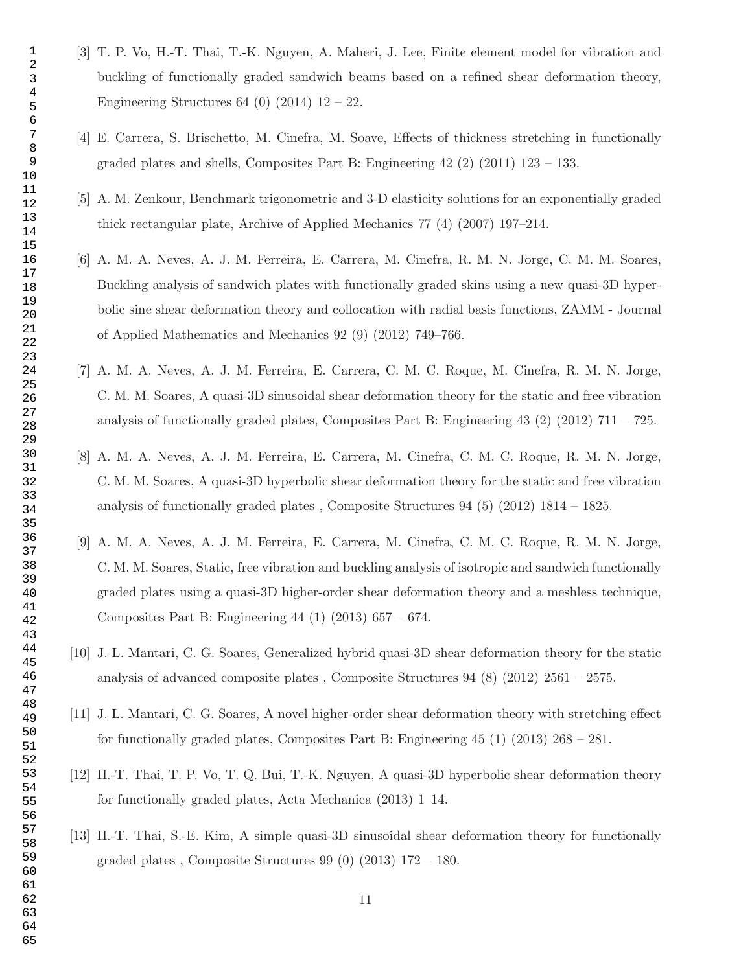- [3] T. P. Vo, H.-T. Thai, T.-K. Nguyen, A. Maheri, J. Lee, Finite element model for vibration and buckling of functionally graded sandwich beams based on a refined shear deformation theory, Engineering Structures 64 (0) (2014)  $12 - 22$ .
- [4] E. Carrera, S. Brischetto, M. Cinefra, M. Soave, Effects of thickness stretching in functionally graded plates and shells, Composites Part B: Engineering (2) (2011) 123 – 133.
- [5] A. M. Zenkour, Benchmark trigonometric and 3-D elasticity solutions for an exponentially graded thick rectangular plate, Archive of Applied Mechanics 77 (4) (2007) 197–214.
- [6] A. M. A. Neves, A. J. M. Ferreira, E. Carrera, M. Cinefra, R. M. N. Jorge, C. M. M. Soares, Buckling analysis of sandwich plates with functionally graded skins using a new quasi-3D hyperbolic sine shear deformation theory and collocation with radial basis functions, ZAMM - Journal of Applied Mathematics and Mechanics 92 (9) (2012) 749–766.
- [7] A. M. A. Neves, A. J. M. Ferreira, E. Carrera, C. M. C. Roque, M. Cinefra, R. M. N. Jorge, C. M. M. Soares, A quasi-3D sinusoidal shear deformation theory for the static and free vibration analysis of functionally graded plates, Composites Part B: Engineering (2) (2012)  $711 - 725$ .
- [8] A. M. A. Neves, A. J. M. Ferreira, E. Carrera, M. Cinefra, C. M. C. Roque, R. M. N. Jorge, C. M. M. Soares, A quasi-3D hyperbolic shear deformation theory for the static and free vibration analysis of functionally graded plates , Composite Structures 94 (5) (2012) 1814 – 1825.
- [9] A. M. A. Neves, A. J. M. Ferreira, E. Carrera, M. Cinefra, C. M. C. Roque, R. M. N. Jorge, C. M. M. Soares, Static, free vibration and buckling analysis of isotropic and sandwich functionally graded plates using a quasi-3D higher-order shear deformation theory and a meshless technique, Composites Part B: Engineering 44 (1) (2013) 657 – 674.
- [10] J. L. Mantari, C. G. Soares, Generalized hybrid quasi-3D shear deformation theory for the static analysis of advanced composite plates , Composite Structures 94 (8) (2012) 2561 – 2575.
- [11] J. L. Mantari, C. G. Soares, A novel higher-order shear deformation theory with stretching effect for functionally graded plates, Composites Part B: Engineering 45 (1) (2013) 268 – 281.
- [12] H.-T. Thai, T. P. Vo, T. Q. Bui, T.-K. Nguyen, A quasi-3D hyperbolic shear deformation theory for functionally graded plates, Acta Mechanica (2013) 1–14.
- [13] H.-T. Thai, S.-E. Kim, A simple quasi-3D sinusoidal shear deformation theory for functionally graded plates, Composite Structures  $99(0)(2013)$  172 – 180.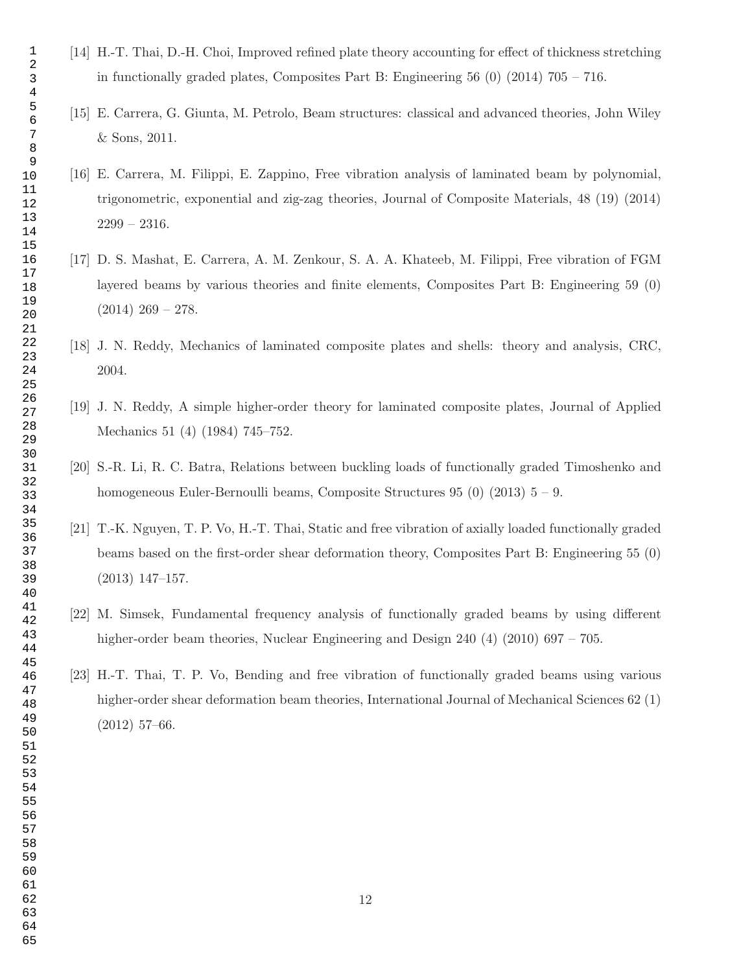- [14] H.-T. Thai, D.-H. Choi, Improved refined plate theory accounting for effect of thickness stretching in functionally graded plates, Composites Part B: Engineering  $56(0)(2014)$   $705 - 716$ .
- [15] E. Carrera, G. Giunta, M. Petrolo, Beam structures: classical and advanced theories, John Wiley & Sons, 2011.
- [16] E. Carrera, M. Filippi, E. Zappino, Free vibration analysis of laminated beam by polynomial, trigonometric, exponential and zig-zag theories, Journal of Composite Materials, 48 (19) (2014) 2299 – 2316.
- [17] D. S. Mashat, E. Carrera, A. M. Zenkour, S. A. A. Khateeb, M. Filippi, Free vibration of FGM layered beams by various theories and finite elements, Composites Part B: Engineering 59 (0)  $(2014)$  269 – 278.
- [18] J. N. Reddy, Mechanics of laminated composite plates and shells: theory and analysis, CRC, 2004.
- [19] J. N. Reddy, A simple higher-order theory for laminated composite plates, Journal of Applied Mechanics 51 (4) (1984) 745–752.
- [20] S.-R. Li, R. C. Batra, Relations between buckling loads of functionally graded Timoshenko and homogeneous Euler-Bernoulli beams, Composite Structures  $95(0)(2013)$   $5 - 9$ .
- [21] T.-K. Nguyen, T. P. Vo, H.-T. Thai, Static and free vibration of axially loaded functionally graded beams based on the first-order shear deformation theory, Composites Part B: Engineering 55 (0) (2013) 147–157.
- [22] M. Simsek, Fundamental frequency analysis of functionally graded beams by using different higher-order beam theories, Nuclear Engineering and Design 240 (4) (2010) 697 – 705.
- [23] H.-T. Thai, T. P. Vo, Bending and free vibration of functionally graded beams using various higher-order shear deformation beam theories, International Journal of Mechanical Sciences 62 (1) (2012) 57–66.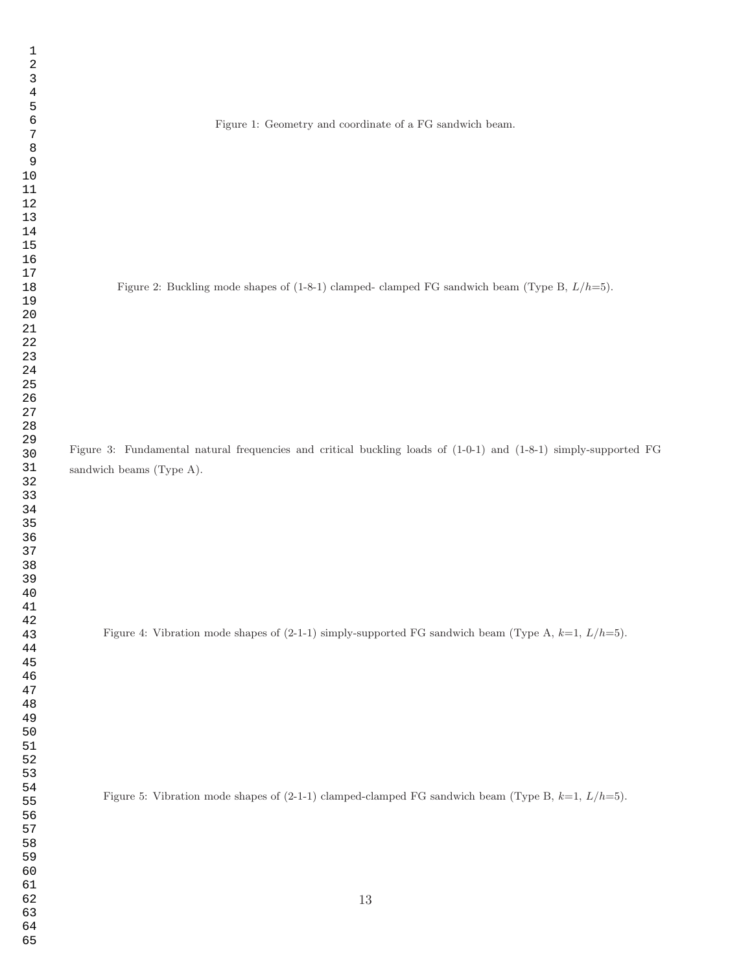Figure 1: Geometry and coordinate of a FG sandwich beam.

Figure 2: Buckling mode shapes of  $(1-8-1)$  clamped- clamped FG sandwich beam (Type B,  $L/h=5$ ).

Figure 3: Fundamental natural frequencies and critical buckling loads of (1-0-1) and (1-8-1) simply-supported FG sandwich beams (Type A).

Figure 4: Vibration mode shapes of  $(2-1-1)$  simply-supported FG sandwich beam (Type A,  $k=1$ ,  $L/h=5$ ).

Figure 5: Vibration mode shapes of  $(2-1-1)$  clamped-clamped FG sandwich beam (Type B,  $k=1, L/h=5$ ).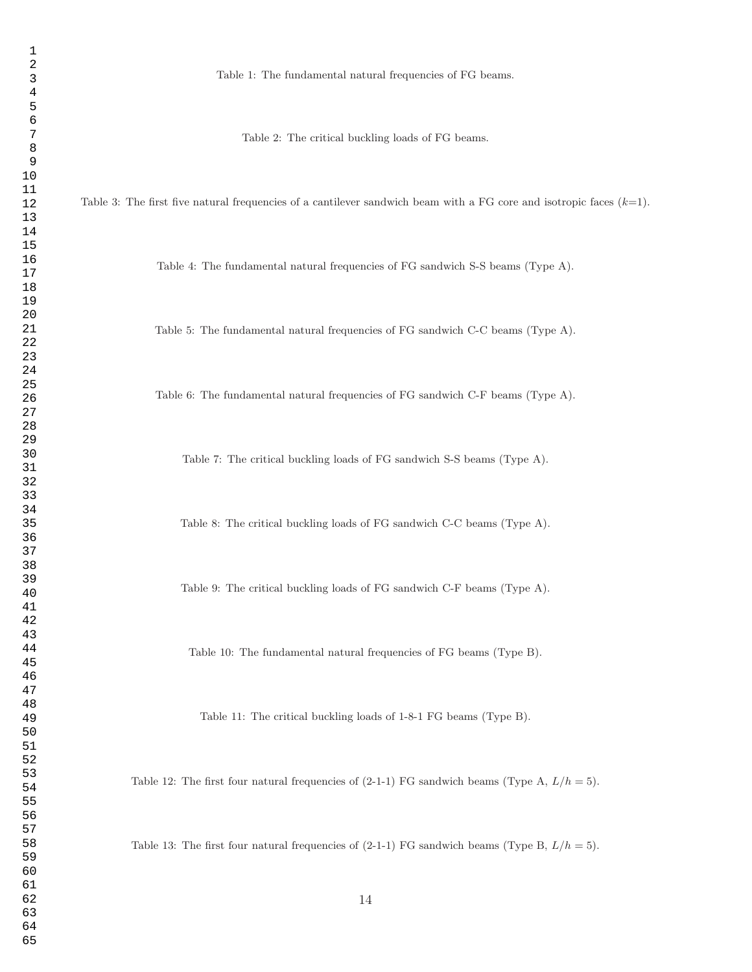Table 1: The fundamental natural frequencies of FG beams.

Table 2: The critical buckling loads of FG beams.

Table 3: The first five natural frequencies of a cantilever sandwich beam with a FG core and isotropic faces  $(k=1)$ .

Table 4: The fundamental natural frequencies of FG sandwich S-S beams (Type A).

Table 5: The fundamental natural frequencies of FG sandwich C-C beams (Type A).

Table 6: The fundamental natural frequencies of FG sandwich C-F beams (Type A).

Table 7: The critical buckling loads of FG sandwich S-S beams (Type A).

Table 8: The critical buckling loads of FG sandwich C-C beams (Type A).

Table 9: The critical buckling loads of FG sandwich C-F beams (Type A).

Table 10: The fundamental natural frequencies of FG beams (Type B).

Table 11: The critical buckling loads of 1-8-1 FG beams (Type B).

Table 12: The first four natural frequencies of  $(2-1-1)$  FG sandwich beams (Type A,  $L/h = 5$ ).

Table 13: The first four natural frequencies of  $(2-1-1)$  FG sandwich beams (Type B,  $L/h = 5$ ).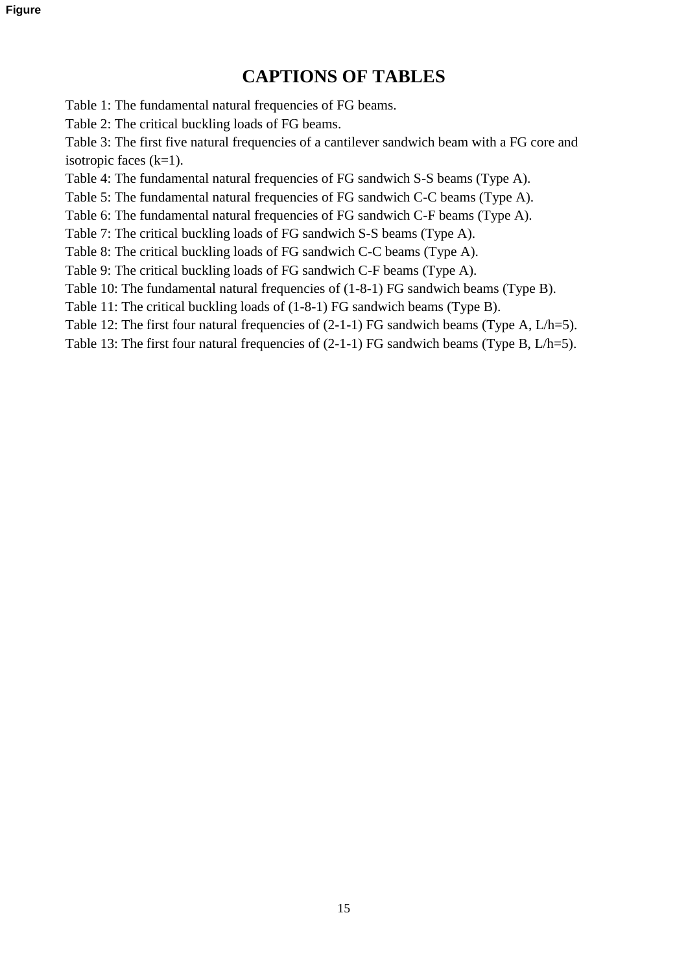# **CAPTIONS OF TABLES**

<span id="page-15-0"></span>[Table 1: The fundamental natural frequencies of FG beams.](#page-15-0)

[Table 2: The critical buckling loads of FG beams.](#page-16-0)

[Table 3: The first five natural frequencies of a cantilever sandwich beam with a FG core and](#page-17-0)  isotropic faces  $(k=1)$ .

[Table 4: The fundamental natural frequencies of FG sandwich S-S beams \(Type A\).](#page-18-0)

[Table 5: The fundamental natural frequencies of FG sandwich C-C beams \(Type A\).](#page-19-0)

[Table 6: The fundamental natural frequencies of FG sandwich C-F beams \(Type A\).](#page-20-0)

[Table 7: The critical buckling loads of FG sandwich S-S beams \(Type A\).](#page-21-0)

[Table 8: The critical buckling loads of FG sandwich C-C beams \(Type A\).](#page-22-0)

[Table 9: The critical buckling loads of FG sandwich C-F beams \(Type A\).](#page-23-0)

[Table 10: The fundamental natural frequencies of \(1-8-1\) FG sandwich beams \(Type B\).](#page-24-0)

[Table 11: The critical buckling loads of \(1-8-1\) FG sandwich beams \(Type B\).](#page-25-0)

Table 12: The first four natural frequencies of  $(2-1-1)$  FG sandwich beams (Type A, L/h=5).

Table 13: The first four natural frequencies of  $(2-1-1)$  FG sandwich beams (Type B, L/h=5).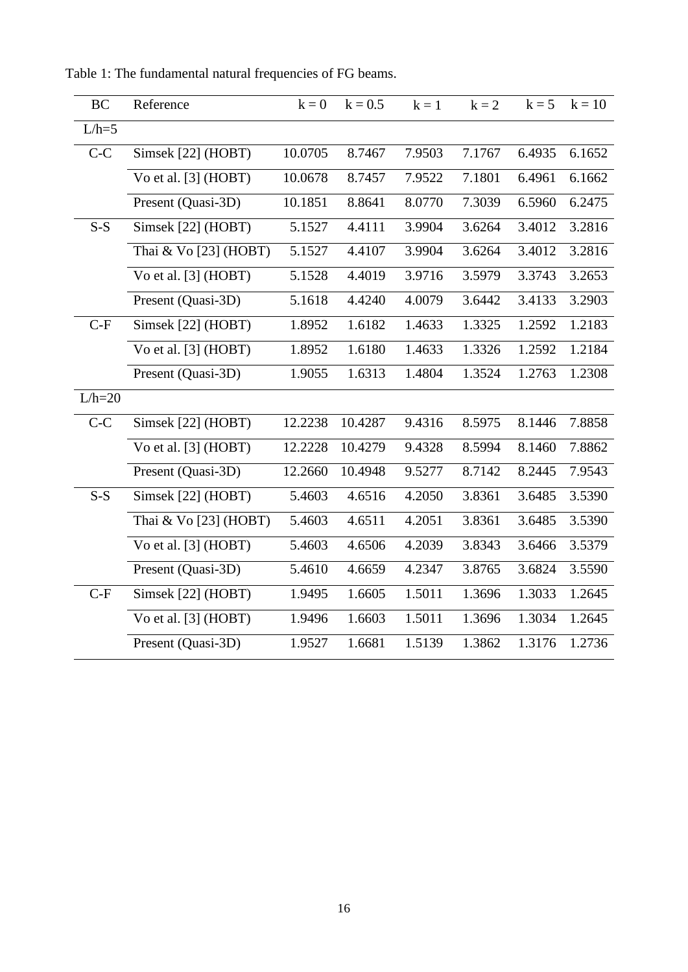| <b>BC</b> | Reference              | $k = 0$ | $k = 0.5$ | $k = 1$ | $k = 2$ | $k = 5$ | $k = 10$ |
|-----------|------------------------|---------|-----------|---------|---------|---------|----------|
| $L/h=5$   |                        |         |           |         |         |         |          |
| $C-C$     | Simsek [22] (HOBT)     | 10.0705 | 8.7467    | 7.9503  | 7.1767  | 6.4935  | 6.1652   |
|           | Vo et al. $[3]$ (HOBT) | 10.0678 | 8.7457    | 7.9522  | 7.1801  | 6.4961  | 6.1662   |
|           | Present (Quasi-3D)     | 10.1851 | 8.8641    | 8.0770  | 7.3039  | 6.5960  | 6.2475   |
| $S-S$     | Simsek [22] (HOBT)     | 5.1527  | 4.4111    | 3.9904  | 3.6264  | 3.4012  | 3.2816   |
|           | Thai & Vo [23] (HOBT)  | 5.1527  | 4.4107    | 3.9904  | 3.6264  | 3.4012  | 3.2816   |
|           | Vo et al. $[3]$ (HOBT) | 5.1528  | 4.4019    | 3.9716  | 3.5979  | 3.3743  | 3.2653   |
|           | Present (Quasi-3D)     | 5.1618  | 4.4240    | 4.0079  | 3.6442  | 3.4133  | 3.2903   |
| $C-F$     | Simsek [22] (HOBT)     | 1.8952  | 1.6182    | 1.4633  | 1.3325  | 1.2592  | 1.2183   |
|           | Vo et al. $[3]$ (HOBT) | 1.8952  | 1.6180    | 1.4633  | 1.3326  | 1.2592  | 1.2184   |
|           | Present (Quasi-3D)     | 1.9055  | 1.6313    | 1.4804  | 1.3524  | 1.2763  | 1.2308   |
| $L/h=20$  |                        |         |           |         |         |         |          |
| $C-C$     | Simsek [22] (HOBT)     | 12.2238 | 10.4287   | 9.4316  | 8.5975  | 8.1446  | 7.8858   |
|           | Vo et al. $[3]$ (HOBT) | 12.2228 | 10.4279   | 9.4328  | 8.5994  | 8.1460  | 7.8862   |
|           | Present (Quasi-3D)     | 12.2660 | 10.4948   | 9.5277  | 8.7142  | 8.2445  | 7.9543   |
| $S-S$     | Simsek [22] (HOBT)     | 5.4603  | 4.6516    | 4.2050  | 3.8361  | 3.6485  | 3.5390   |
|           | Thai & Vo [23] (HOBT)  | 5.4603  | 4.6511    | 4.2051  | 3.8361  | 3.6485  | 3.5390   |
|           | Vo et al. [3] (HOBT)   | 5.4603  | 4.6506    | 4.2039  | 3.8343  | 3.6466  | 3.5379   |
|           | Present (Quasi-3D)     | 5.4610  | 4.6659    | 4.2347  | 3.8765  | 3.6824  | 3.5590   |
| $C-F$     | Simsek [22] (HOBT)     | 1.9495  | 1.6605    | 1.5011  | 1.3696  | 1.3033  | 1.2645   |
|           | Vo et al. [3] (HOBT)   | 1.9496  | 1.6603    | 1.5011  | 1.3696  | 1.3034  | 1.2645   |
|           | Present (Quasi-3D)     | 1.9527  | 1.6681    | 1.5139  | 1.3862  | 1.3176  | 1.2736   |

<span id="page-16-0"></span>Table 1: The fundamental natural frequencies of FG beams.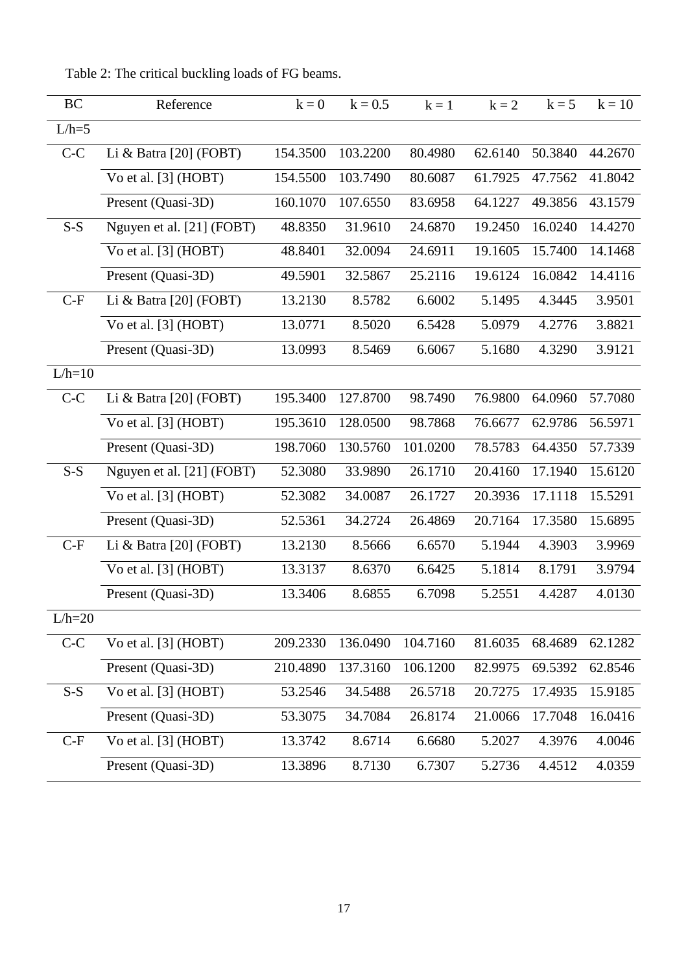| <b>BC</b> | Reference                 | $k = 0$  | $k = 0.5$ | $k = 1$  | $k = 2$ | $k = 5$ | $k = 10$ |
|-----------|---------------------------|----------|-----------|----------|---------|---------|----------|
| $L/h=5$   |                           |          |           |          |         |         |          |
| $C-C$     | Li & Batra $[20]$ (FOBT)  | 154.3500 | 103.2200  | 80.4980  | 62.6140 | 50.3840 | 44.2670  |
|           | Vo et al. [3] (HOBT)      | 154.5500 | 103.7490  | 80.6087  | 61.7925 | 47.7562 | 41.8042  |
|           | Present (Quasi-3D)        | 160.1070 | 107.6550  | 83.6958  | 64.1227 | 49.3856 | 43.1579  |
| $S-S$     | Nguyen et al. [21] (FOBT) | 48.8350  | 31.9610   | 24.6870  | 19.2450 | 16.0240 | 14.4270  |
|           | Vo et al. [3] (HOBT)      | 48.8401  | 32.0094   | 24.6911  | 19.1605 | 15.7400 | 14.1468  |
|           | Present (Quasi-3D)        | 49.5901  | 32.5867   | 25.2116  | 19.6124 | 16.0842 | 14.4116  |
| $C-F$     | Li & Batra $[20]$ (FOBT)  | 13.2130  | 8.5782    | 6.6002   | 5.1495  | 4.3445  | 3.9501   |
|           | Vo et al. $[3]$ (HOBT)    | 13.0771  | 8.5020    | 6.5428   | 5.0979  | 4.2776  | 3.8821   |
|           | Present (Quasi-3D)        | 13.0993  | 8.5469    | 6.6067   | 5.1680  | 4.3290  | 3.9121   |
| $L/h=10$  |                           |          |           |          |         |         |          |
| $C-C$     | Li & Batra $[20]$ (FOBT)  | 195.3400 | 127.8700  | 98.7490  | 76.9800 | 64.0960 | 57.7080  |
|           | Vo et al. $[3]$ (HOBT)    | 195.3610 | 128.0500  | 98.7868  | 76.6677 | 62.9786 | 56.5971  |
|           | Present (Quasi-3D)        | 198.7060 | 130.5760  | 101.0200 | 78.5783 | 64.4350 | 57.7339  |
| $S-S$     | Nguyen et al. [21] (FOBT) | 52.3080  | 33.9890   | 26.1710  | 20.4160 | 17.1940 | 15.6120  |
|           | Vo et al. [3] (HOBT)      | 52.3082  | 34.0087   | 26.1727  | 20.3936 | 17.1118 | 15.5291  |
|           | Present (Quasi-3D)        | 52.5361  | 34.2724   | 26.4869  | 20.7164 | 17.3580 | 15.6895  |
| $C-F$     | Li & Batra $[20]$ (FOBT)  | 13.2130  | 8.5666    | 6.6570   | 5.1944  | 4.3903  | 3.9969   |
|           | Vo et al. [3] (HOBT)      | 13.3137  | 8.6370    | 6.6425   | 5.1814  | 8.1791  | 3.9794   |
|           | Present (Quasi-3D)        | 13.3406  | 8.6855    | 6.7098   | 5.2551  | 4.4287  | 4.0130   |
| $L/h=20$  |                           |          |           |          |         |         |          |
| $C-C$     | Vo et al. [3] (HOBT)      | 209.2330 | 136.0490  | 104.7160 | 81.6035 | 68.4689 | 62.1282  |
|           | Present (Quasi-3D)        | 210.4890 | 137.3160  | 106.1200 | 82.9975 | 69.5392 | 62.8546  |
| $S-S$     | Vo et al. [3] (HOBT)      | 53.2546  | 34.5488   | 26.5718  | 20.7275 | 17.4935 | 15.9185  |
|           | Present (Quasi-3D)        | 53.3075  | 34.7084   | 26.8174  | 21.0066 | 17.7048 | 16.0416  |
| $C-F$     | Vo et al. [3] (HOBT)      | 13.3742  | 8.6714    | 6.6680   | 5.2027  | 4.3976  | 4.0046   |
|           | Present (Quasi-3D)        | 13.3896  | 8.7130    | 6.7307   | 5.2736  | 4.4512  | 4.0359   |

<span id="page-17-0"></span>Table 2: The critical buckling loads of FG beams.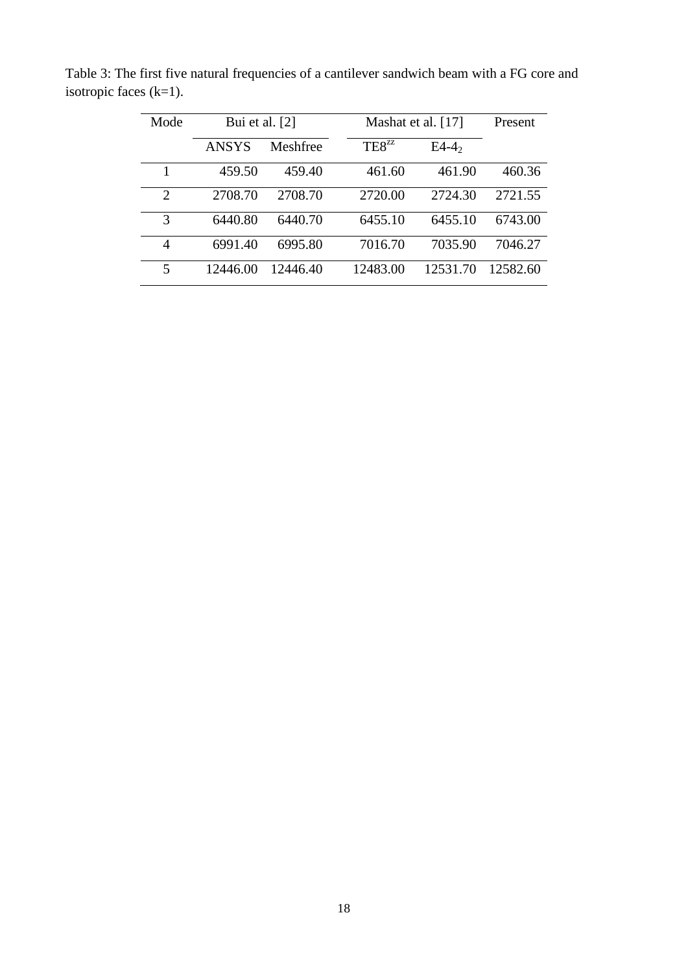| Mode           | Bui et al. [2] |          |                   | Mashat et al. [17] | Present  |
|----------------|----------------|----------|-------------------|--------------------|----------|
|                | <b>ANSYS</b>   | Meshfree | TE8 <sup>zz</sup> | $E4-42$            |          |
| 1              | 459.50         | 459.40   | 461.60            | 461.90             | 460.36   |
| $\overline{2}$ | 2708.70        | 2708.70  | 2720.00           | 2724.30            | 2721.55  |
| 3              | 6440.80        | 6440.70  | 6455.10           | 6455.10            | 6743.00  |
| 4              | 6991.40        | 6995.80  | 7016.70           | 7035.90            | 7046.27  |
| 5              | 12446.00       | 12446.40 | 12483.00          | 12531.70           | 12582.60 |

<span id="page-18-0"></span>Table 3: The first five natural frequencies of a cantilever sandwich beam with a FG core and isotropic faces (k=1).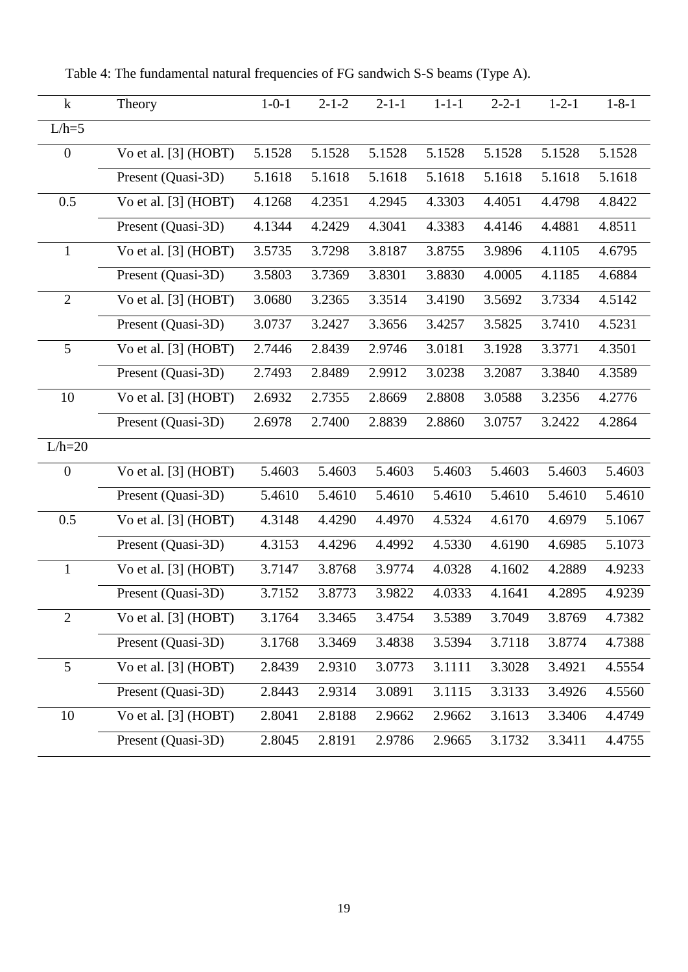| $\mathbf{k}$     | Theory                 | $1 - 0 - 1$ | $2 - 1 - 2$ | $2 - 1 - 1$ | $1 - 1 - 1$ | $2 - 2 - 1$ | $1 - 2 - 1$ | $1 - 8 - 1$ |
|------------------|------------------------|-------------|-------------|-------------|-------------|-------------|-------------|-------------|
| $L/h=5$          |                        |             |             |             |             |             |             |             |
| $\overline{0}$   | Vo et al. [3] (HOBT)   | 5.1528      | 5.1528      | 5.1528      | 5.1528      | 5.1528      | 5.1528      | 5.1528      |
|                  | Present (Quasi-3D)     | 5.1618      | 5.1618      | 5.1618      | 5.1618      | 5.1618      | 5.1618      | 5.1618      |
| 0.5              | Vo et al. $[3]$ (HOBT) | 4.1268      | 4.2351      | 4.2945      | 4.3303      | 4.4051      | 4.4798      | 4.8422      |
|                  | Present (Quasi-3D)     | 4.1344      | 4.2429      | 4.3041      | 4.3383      | 4.4146      | 4.4881      | 4.8511      |
| $\mathbf{1}$     | Vo et al. $[3]$ (HOBT) | 3.5735      | 3.7298      | 3.8187      | 3.8755      | 3.9896      | 4.1105      | 4.6795      |
|                  | Present (Quasi-3D)     | 3.5803      | 3.7369      | 3.8301      | 3.8830      | 4.0005      | 4.1185      | 4.6884      |
| $\overline{2}$   | Vo et al. $[3]$ (HOBT) | 3.0680      | 3.2365      | 3.3514      | 3.4190      | 3.5692      | 3.7334      | 4.5142      |
|                  | Present (Quasi-3D)     | 3.0737      | 3.2427      | 3.3656      | 3.4257      | 3.5825      | 3.7410      | 4.5231      |
| 5                | Vo et al. [3] (HOBT)   | 2.7446      | 2.8439      | 2.9746      | 3.0181      | 3.1928      | 3.3771      | 4.3501      |
|                  | Present (Quasi-3D)     | 2.7493      | 2.8489      | 2.9912      | 3.0238      | 3.2087      | 3.3840      | 4.3589      |
| 10               | Vo et al. $[3]$ (HOBT) | 2.6932      | 2.7355      | 2.8669      | 2.8808      | 3.0588      | 3.2356      | 4.2776      |
|                  | Present (Quasi-3D)     | 2.6978      | 2.7400      | 2.8839      | 2.8860      | 3.0757      | 3.2422      | 4.2864      |
| $L/h=20$         |                        |             |             |             |             |             |             |             |
| $\boldsymbol{0}$ | Vo et al. [3] (HOBT)   | 5.4603      | 5.4603      | 5.4603      | 5.4603      | 5.4603      | 5.4603      | 5.4603      |
|                  | Present (Quasi-3D)     | 5.4610      | 5.4610      | 5.4610      | 5.4610      | 5.4610      | 5.4610      | 5.4610      |
| 0.5              | Vo et al. $[3]$ (HOBT) | 4.3148      | 4.4290      | 4.4970      | 4.5324      | 4.6170      | 4.6979      | 5.1067      |
|                  | Present (Quasi-3D)     | 4.3153      | 4.4296      | 4.4992      | 4.5330      | 4.6190      | 4.6985      | 5.1073      |
| $\mathbf{1}$     | Vo et al. [3] (HOBT)   | 3.7147      | 3.8768      | 3.9774      | 4.0328      | 4.1602      | 4.2889      | 4.9233      |
|                  | Present (Quasi-3D)     | 3.7152      | 3.8773      | 3.9822      | 4.0333      | 4.1641      | 4.2895      | 4.9239      |
| $\overline{2}$   | Vo et al. [3] (HOBT)   | 3.1764      | 3.3465      | 3.4754      | 3.5389      | 3.7049      | 3.8769      | 4.7382      |
|                  | Present (Quasi-3D)     | 3.1768      | 3.3469      | 3.4838      | 3.5394      | 3.7118      | 3.8774      | 4.7388      |
| 5                | Vo et al. $[3]$ (HOBT) | 2.8439      | 2.9310      | 3.0773      | 3.1111      | 3.3028      | 3.4921      | 4.5554      |
|                  | Present (Quasi-3D)     | 2.8443      | 2.9314      | 3.0891      | 3.1115      | 3.3133      | 3.4926      | 4.5560      |
| 10               | Vo et al. $[3]$ (HOBT) | 2.8041      | 2.8188      | 2.9662      | 2.9662      | 3.1613      | 3.3406      | 4.4749      |
|                  | Present (Quasi-3D)     | 2.8045      | 2.8191      | 2.9786      | 2.9665      | 3.1732      | 3.3411      | 4.4755      |

<span id="page-19-0"></span>Table 4: The fundamental natural frequencies of FG sandwich S-S beams (Type A).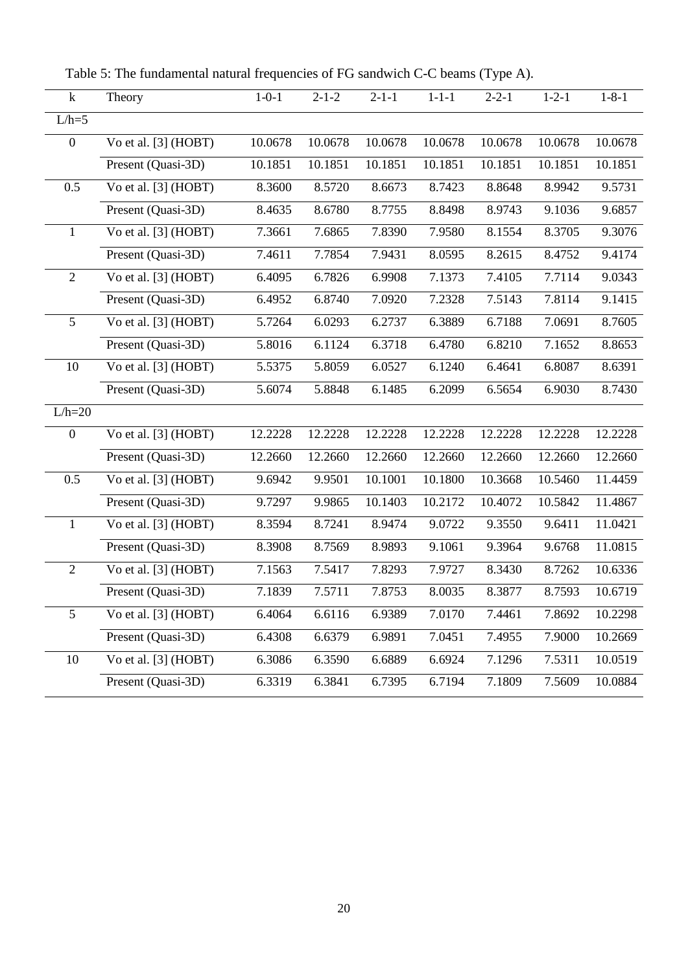<span id="page-20-0"></span>Table 5: The fundamental natural frequencies of FG sandwich C-C beams (Type A).

| $\bf k$          | Theory                 | $1 - 0 - 1$          | $2 - 1 - 2$ | $2 - 1 - 1$ | $1 - 1 - 1$ | $2 - 2 - 1$ | $1 - 2 - 1$ | $1 - 8 - 1$ |
|------------------|------------------------|----------------------|-------------|-------------|-------------|-------------|-------------|-------------|
| $L/h=5$          |                        |                      |             |             |             |             |             |             |
| $\boldsymbol{0}$ | Vo et al. [3] (HOBT)   | 10.0678              | 10.0678     | 10.0678     | 10.0678     | 10.0678     | 10.0678     | 10.0678     |
|                  | Present (Quasi-3D)     | $10.185\overline{1}$ | 10.1851     | 10.1851     | 10.1851     | 10.1851     | 10.1851     | 10.1851     |
| 0.5              | Vo et al. [3] (HOBT)   | 8.3600               | 8.5720      | 8.6673      | 8.7423      | 8.8648      | 8.9942      | 9.5731      |
|                  | Present (Quasi-3D)     | 8.4635               | 8.6780      | 8.7755      | 8.8498      | 8.9743      | 9.1036      | 9.6857      |
| $\mathbf{1}$     | Vo et al. [3] (HOBT)   | 7.3661               | 7.6865      | 7.8390      | 7.9580      | 8.1554      | 8.3705      | 9.3076      |
|                  | Present (Quasi-3D)     | 7.4611               | 7.7854      | 7.9431      | 8.0595      | 8.2615      | 8.4752      | 9.4174      |
| $\overline{2}$   | Vo et al. [3] (HOBT)   | 6.4095               | 6.7826      | 6.9908      | 7.1373      | 7.4105      | 7.7114      | 9.0343      |
|                  | Present (Quasi-3D)     | 6.4952               | 6.8740      | 7.0920      | 7.2328      | 7.5143      | 7.8114      | 9.1415      |
| 5                | Vo et al. $[3]$ (HOBT) | 5.7264               | 6.0293      | 6.2737      | 6.3889      | 6.7188      | 7.0691      | 8.7605      |
|                  | Present (Quasi-3D)     | 5.8016               | 6.1124      | 6.3718      | 6.4780      | 6.8210      | 7.1652      | 8.8653      |
| 10               | Vo et al. [3] (HOBT)   | 5.5375               | 5.8059      | 6.0527      | 6.1240      | 6.4641      | 6.8087      | 8.6391      |
|                  | Present (Quasi-3D)     | 5.6074               | 5.8848      | 6.1485      | 6.2099      | 6.5654      | 6.9030      | 8.7430      |
| $L/h=20$         |                        |                      |             |             |             |             |             |             |
| $\boldsymbol{0}$ | Vo et al. $[3]$ (HOBT) | 12.2228              | 12.2228     | 12.2228     | 12.2228     | 12.2228     | 12.2228     | 12.2228     |
|                  | Present (Quasi-3D)     | 12.2660              | 12.2660     | 12.2660     | 12.2660     | 12.2660     | 12.2660     | 12.2660     |
| 0.5              | Vo et al. [3] (HOBT)   | 9.6942               | 9.9501      | 10.1001     | 10.1800     | 10.3668     | 10.5460     | 11.4459     |
|                  | Present (Quasi-3D)     | 9.7297               | 9.9865      | 10.1403     | 10.2172     | 10.4072     | 10.5842     | 11.4867     |
| $\mathbf{1}$     | Vo et al. [3] (HOBT)   | 8.3594               | 8.7241      | 8.9474      | 9.0722      | 9.3550      | 9.6411      | 11.0421     |
|                  | Present (Quasi-3D)     | 8.3908               | 8.7569      | 8.9893      | 9.1061      | 9.3964      | 9.6768      | 11.0815     |
| $\overline{2}$   | Vo et al. $[3]$ (HOBT) | 7.1563               | 7.5417      | 7.8293      | 7.9727      | 8.3430      | 8.7262      | 10.6336     |
|                  | Present (Quasi-3D)     | 7.1839               | 7.5711      | 7.8753      | 8.0035      | 8.3877      | 8.7593      | 10.6719     |
| 5                | Vo et al. [3] (HOBT)   | 6.4064               | 6.6116      | 6.9389      | 7.0170      | 7.4461      | 7.8692      | 10.2298     |
|                  | Present (Quasi-3D)     | 6.4308               | 6.6379      | 6.9891      | 7.0451      | 7.4955      | 7.9000      | 10.2669     |
| 10               | Vo et al. [3] (HOBT)   | 6.3086               | 6.3590      | 6.6889      | 6.6924      | 7.1296      | 7.5311      | 10.0519     |
|                  | Present (Quasi-3D)     | 6.3319               | 6.3841      | 6.7395      | 6.7194      | 7.1809      | 7.5609      | 10.0884     |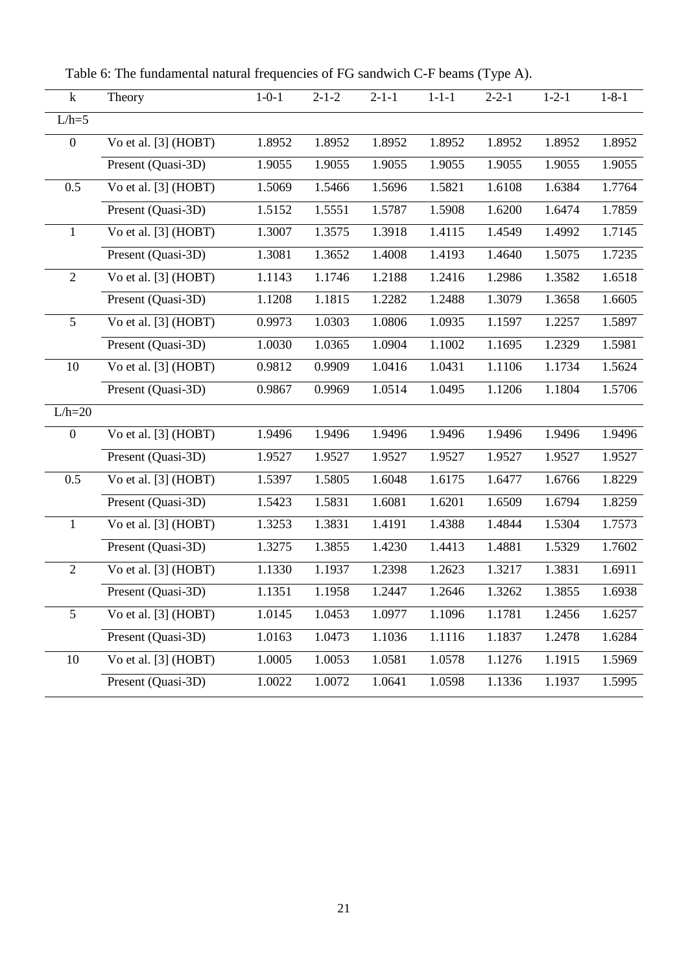Table 6: The fundamental natural frequencies of FG sandwich C-F beams (Type A).

<span id="page-21-0"></span>

| $\mathbf k$      | Theory               | $1 - 0 - 1$         | $2 - 1 - 2$ | $2 - 1 - 1$ | $1 - 1 - 1$ | $2 - 2 - 1$ | $1 - 2 - 1$ | $1 - 8 - 1$ |
|------------------|----------------------|---------------------|-------------|-------------|-------------|-------------|-------------|-------------|
| $L/h=5$          |                      |                     |             |             |             |             |             |             |
| $\boldsymbol{0}$ | Vo et al. [3] (HOBT) | 1.8952              | 1.8952      | 1.8952      | 1.8952      | 1.8952      | 1.8952      | 1.8952      |
|                  | Present (Quasi-3D)   | 1.9055              | 1.9055      | 1.9055      | 1.9055      | 1.9055      | 1.9055      | 1.9055      |
| 0.5              | Vo et al. [3] (HOBT) | 1.5069              | 1.5466      | 1.5696      | 1.5821      | 1.6108      | 1.6384      | 1.7764      |
|                  | Present (Quasi-3D)   | 1.5152              | 1.5551      | 1.5787      | 1.5908      | 1.6200      | 1.6474      | 1.7859      |
| $\mathbf{1}$     | Vo et al. [3] (HOBT) | 1.3007              | 1.3575      | 1.3918      | 1.4115      | 1.4549      | 1.4992      | 1.7145      |
|                  | Present (Quasi-3D)   | $\overline{1.3081}$ | 1.3652      | 1.4008      | 1.4193      | 1.4640      | 1.5075      | 1.7235      |
| $\overline{2}$   | Vo et al. [3] (HOBT) | 1.1143              | 1.1746      | 1.2188      | 1.2416      | 1.2986      | 1.3582      | 1.6518      |
|                  | Present (Quasi-3D)   | 1.1208              | 1.1815      | 1.2282      | 1.2488      | 1.3079      | 1.3658      | 1.6605      |
| 5                | Vo et al. [3] (HOBT) | 0.9973              | 1.0303      | 1.0806      | 1.0935      | 1.1597      | 1.2257      | 1.5897      |
|                  | Present (Quasi-3D)   | 1.0030              | 1.0365      | 1.0904      | 1.1002      | 1.1695      | 1.2329      | 1.5981      |
| 10               | Vo et al. [3] (HOBT) | 0.9812              | 0.9909      | 1.0416      | 1.0431      | 1.1106      | 1.1734      | 1.5624      |
|                  | Present (Quasi-3D)   | 0.9867              | 0.9969      | 1.0514      | 1.0495      | 1.1206      | 1.1804      | 1.5706      |
| $L/h=20$         |                      |                     |             |             |             |             |             |             |
| $\boldsymbol{0}$ | Vo et al. [3] (HOBT) | 1.9496              | 1.9496      | 1.9496      | 1.9496      | 1.9496      | 1.9496      | 1.9496      |
|                  | Present (Quasi-3D)   | 1.9527              | 1.9527      | 1.9527      | 1.9527      | 1.9527      | 1.9527      | 1.9527      |
| 0.5              | Vo et al. [3] (HOBT) | 1.5397              | 1.5805      | 1.6048      | 1.6175      | 1.6477      | 1.6766      | 1.8229      |
|                  | Present (Quasi-3D)   | 1.5423              | 1.5831      | 1.6081      | 1.6201      | 1.6509      | 1.6794      | 1.8259      |
| $\mathbf{1}$     | Vo et al. [3] (HOBT) | 1.3253              | 1.3831      | 1.4191      | 1.4388      | 1.4844      | 1.5304      | 1.7573      |
|                  | Present (Quasi-3D)   | 1.3275              | 1.3855      | 1.4230      | 1.4413      | 1.4881      | 1.5329      | 1.7602      |
| $\overline{2}$   | Vo et al. [3] (HOBT) | 1.1330              | 1.1937      | 1.2398      | 1.2623      | 1.3217      | 1.3831      | 1.6911      |
|                  | Present (Quasi-3D)   | 1.1351              | 1.1958      | 1.2447      | 1.2646      | 1.3262      | 1.3855      | 1.6938      |
| 5                | Vo et al. [3] (HOBT) | 1.0145              | 1.0453      | 1.0977      | 1.1096      | 1.1781      | 1.2456      | 1.6257      |
|                  | Present (Quasi-3D)   | 1.0163              | 1.0473      | 1.1036      | 1.1116      | 1.1837      | 1.2478      | 1.6284      |
| 10               | Vo et al. [3] (HOBT) | 1.0005              | 1.0053      | 1.0581      | 1.0578      | 1.1276      | 1.1915      | 1.5969      |
|                  | Present (Quasi-3D)   | 1.0022              | 1.0072      | 1.0641      | 1.0598      | 1.1336      | 1.1937      | 1.5995      |
|                  |                      |                     |             |             |             |             |             |             |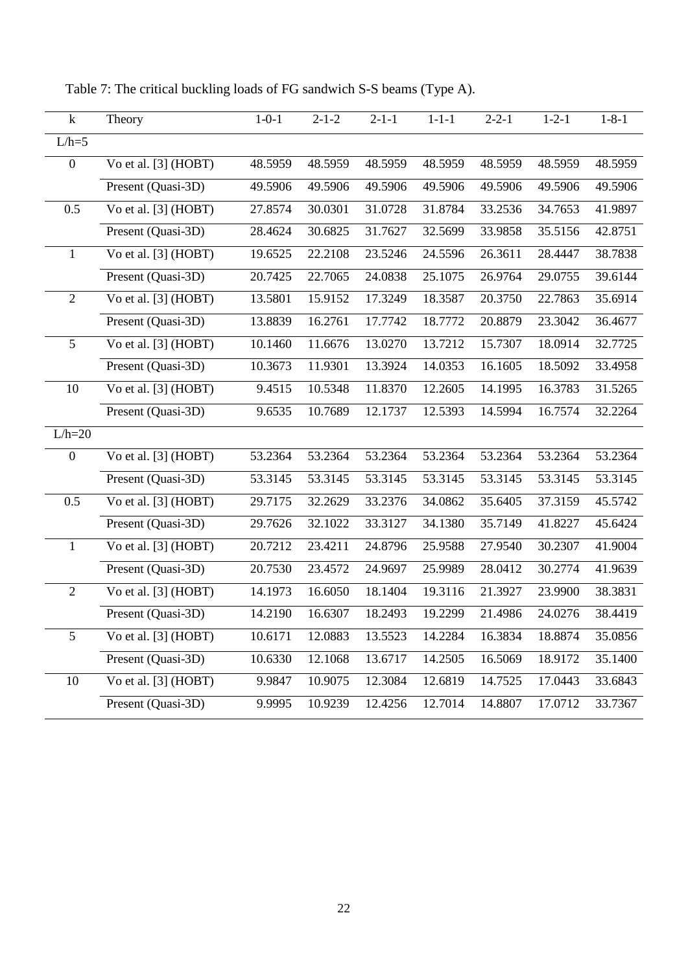| $\mathbf k$      | Theory                             | $1 - 0 - 1$ | $2 - 1 - 2$ | $2 - 1 - 1$ | $1 - 1 - 1$ | $2 - 2 - 1$ | $1 - 2 - 1$ | $1 - 8 - 1$ |
|------------------|------------------------------------|-------------|-------------|-------------|-------------|-------------|-------------|-------------|
| $L/h=5$          |                                    |             |             |             |             |             |             |             |
| $\boldsymbol{0}$ | Vo et al. [3] (HOBT)               | 48.5959     | 48.5959     | 48.5959     | 48.5959     | 48.5959     | 48.5959     | 48.5959     |
|                  | Present (Quasi-3D)                 | 49.5906     | 49.5906     | 49.5906     | 49.5906     | 49.5906     | 49.5906     | 49.5906     |
| 0.5              | Vo et al. [3] (HOBT)               | 27.8574     | 30.0301     | 31.0728     | 31.8784     | 33.2536     | 34.7653     | 41.9897     |
|                  | Present (Quasi-3D)                 | 28.4624     | 30.6825     | 31.7627     | 32.5699     | 33.9858     | 35.5156     | 42.8751     |
| $\mathbf{1}$     | Vo et al. [3] (HOBT)               | 19.6525     | 22.2108     | 23.5246     | 24.5596     | 26.3611     | 28.4447     | 38.7838     |
|                  | Present (Quasi-3D)                 | 20.7425     | 22.7065     | 24.0838     | 25.1075     | 26.9764     | 29.0755     | 39.6144     |
| $\overline{2}$   | Vo et al. [3] (HOBT)               | 13.5801     | 15.9152     | 17.3249     | 18.3587     | 20.3750     | 22.7863     | 35.6914     |
|                  | Present (Quasi-3D)                 | 13.8839     | 16.2761     | 17.7742     | 18.7772     | 20.8879     | 23.3042     | 36.4677     |
| 5                | Vo et al. [3] (HOBT)               | 10.1460     | 11.6676     | 13.0270     | 13.7212     | 15.7307     | 18.0914     | 32.7725     |
|                  | Present (Quasi-3D)                 | 10.3673     | 11.9301     | 13.3924     | 14.0353     | 16.1605     | 18.5092     | 33.4958     |
| 10               | Vo et al. [3] (HOBT)               | 9.4515      | 10.5348     | 11.8370     | 12.2605     | 14.1995     | 16.3783     | 31.5265     |
|                  | Present (Quasi-3D)                 | 9.6535      | 10.7689     | 12.1737     | 12.5393     | 14.5994     | 16.7574     | 32.2264     |
| $L/h=20$         |                                    |             |             |             |             |             |             |             |
| $\boldsymbol{0}$ | Vo et al. [3] (HOBT)               | 53.2364     | 53.2364     | 53.2364     | 53.2364     | 53.2364     | 53.2364     | 53.2364     |
|                  | Present (Quasi-3D)                 | 53.3145     | 53.3145     | 53.3145     | 53.3145     | 53.3145     | 53.3145     | 53.3145     |
| 0.5              | Vo et al. [3] (HOBT)               | 29.7175     | 32.2629     | 33.2376     | 34.0862     | 35.6405     | 37.3159     | 45.5742     |
|                  | Present (Quasi-3D)                 | 29.7626     | 32.1022     | 33.3127     | 34.1380     | 35.7149     | 41.8227     | 45.6424     |
| $\mathbf{1}$     | $\overline{V}$ o et al. [3] (HOBT) | 20.7212     | 23.4211     | 24.8796     | 25.9588     | 27.9540     | 30.2307     | 41.9004     |
|                  | Present (Quasi-3D)                 | 20.7530     | 23.4572     | 24.9697     | 25.9989     | 28.0412     | 30.2774     | 41.9639     |
| $\overline{2}$   | Vo et al. [3] (HOBT)               | 14.1973     | 16.6050     | 18.1404     | 19.3116     | 21.3927     | 23.9900     | 38.3831     |
|                  | Present (Quasi-3D)                 | 14.2190     | 16.6307     | 18.2493     | 19.2299     | 21.4986     | 24.0276     | 38.4419     |
| 5                | Vo et al. [3] (HOBT)               | 10.6171     | 12.0883     | 13.5523     | 14.2284     | 16.3834     | 18.8874     | 35.0856     |
|                  | Present (Quasi-3D)                 | 10.6330     | 12.1068     | 13.6717     | 14.2505     | 16.5069     | 18.9172     | 35.1400     |
| 10               | Vo et al. [3] (HOBT)               | 9.9847      | 10.9075     | 12.3084     | 12.6819     | 14.7525     | 17.0443     | 33.6843     |
|                  | Present (Quasi-3D)                 | 9.9995      | 10.9239     | 12.4256     | 12.7014     | 14.8807     | 17.0712     | 33.7367     |

<span id="page-22-0"></span>Table 7: The critical buckling loads of FG sandwich S-S beams (Type A).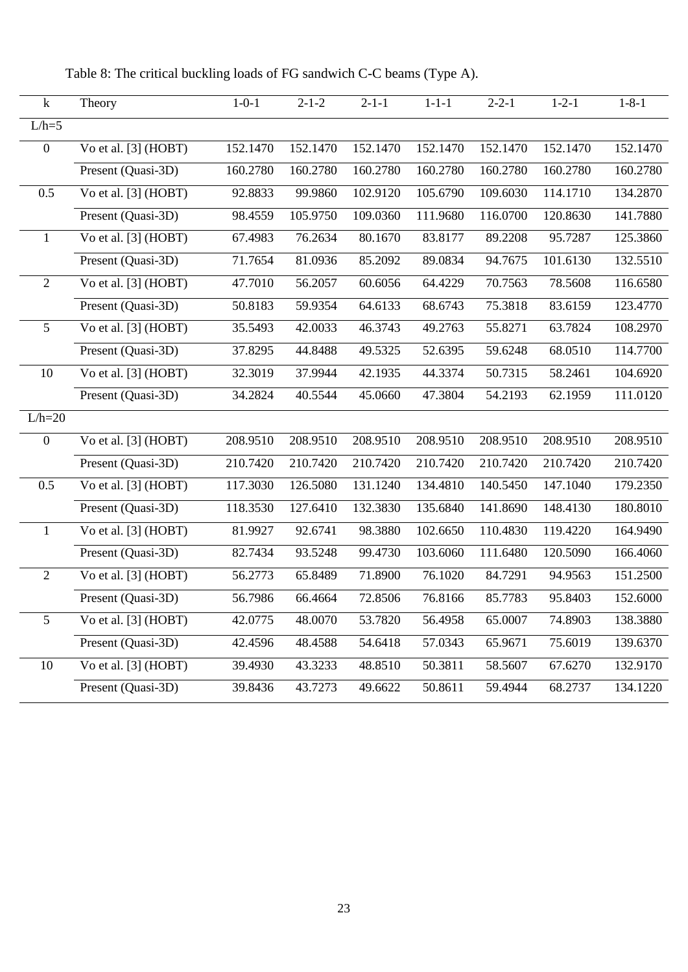k Theory 1-0-1 2-1-2 2-1-1 1-1-1 2-2-1 1-2-1 1-8-1  $L/h=5$ 0 Vo et al. [3] (HOBT) 152.1470 152.1470 152.1470 152.1470 152.1470 152.1470 152.1470 Present (Quasi-3D) 160.2780 160.2780 160.2780 160.2780 160.2780 160.2780 160.2780 0.5 Vo et al. [3] (HOBT) 92.8833 99.9860 102.9120 105.6790 109.6030 114.1710 134.2870 Present (Quasi-3D) 98.4559 105.9750 109.0360 111.9680 116.0700 120.8630 141.7880 1 Vo et al. [3] (HOBT) 67.4983 76.2634 80.1670 83.8177 89.2208 95.7287 125.3860 Present (Quasi-3D) 71.7654 81.0936 85.2092 89.0834 94.7675 101.6130 132.5510 2 Vo et al. [3] (HOBT) 47.7010 56.2057 60.6056 64.4229 70.7563 78.5608 116.6580 Present (Quasi-3D) 50.8183 59.9354 64.6133 68.6743 75.3818 83.6159 123.4770 5 Vo et al. [3] (HOBT) 35.5493 42.0033 46.3743 49.2763 55.8271 63.7824 108.2970 Present (Quasi-3D) 37.8295 44.8488 49.5325 52.6395 59.6248 68.0510 114.7700 10 Vo et al. [3] (HOBT) 32.3019 37.9944 42.1935 44.3374 50.7315 58.2461 104.6920 Present (Quasi-3D) 34.2824 40.5544 45.0660 47.3804 54.2193 62.1959 111.0120  $L/h=20$ 0 Vo et al. [3] (HOBT) 208.9510 208.9510 208.9510 208.9510 208.9510 208.9510 208.9510 Present (Quasi-3D) 210.7420 210.7420 210.7420 210.7420 210.7420 210.7420 210.7420 0.5 Vo et al. [3] (HOBT) 117.3030 126.5080 131.1240 134.4810 140.5450 147.1040 179.2350 Present (Quasi-3D) 118.3530 127.6410 132.3830 135.6840 141.8690 148.4130 180.8010 1 Vo et al. [3] (HOBT) 81.9927 92.6741 98.3880 102.6650 110.4830 119.4220 164.9490 Present (Quasi-3D) 82.7434 93.5248 99.4730 103.6060 111.6480 120.5090 166.4060 2 Vo et al. [3] (HOBT) 56.2773 65.8489 71.8900 76.1020 84.7291 94.9563 151.2500 Present (Quasi-3D) 56.7986 66.4664 72.8506 76.8166 85.7783 95.8403 152.6000 5 Vo et al. [3] (HOBT) 42.0775 48.0070 53.7820 56.4958 65.0007 74.8903 138.3880 Present (Quasi-3D) 42.4596 48.4588 54.6418 57.0343 65.9671 75.6019 139.6370 10 Vo et al. [3] (HOBT) 39.4930 43.3233 48.8510 50.3811 58.5607 67.6270 132.9170 Present (Quasi-3D) 39.8436 43.7273 49.6622 50.8611 59.4944 68.2737 134.1220

<span id="page-23-0"></span>Table 8: The critical buckling loads of FG sandwich C-C beams (Type A).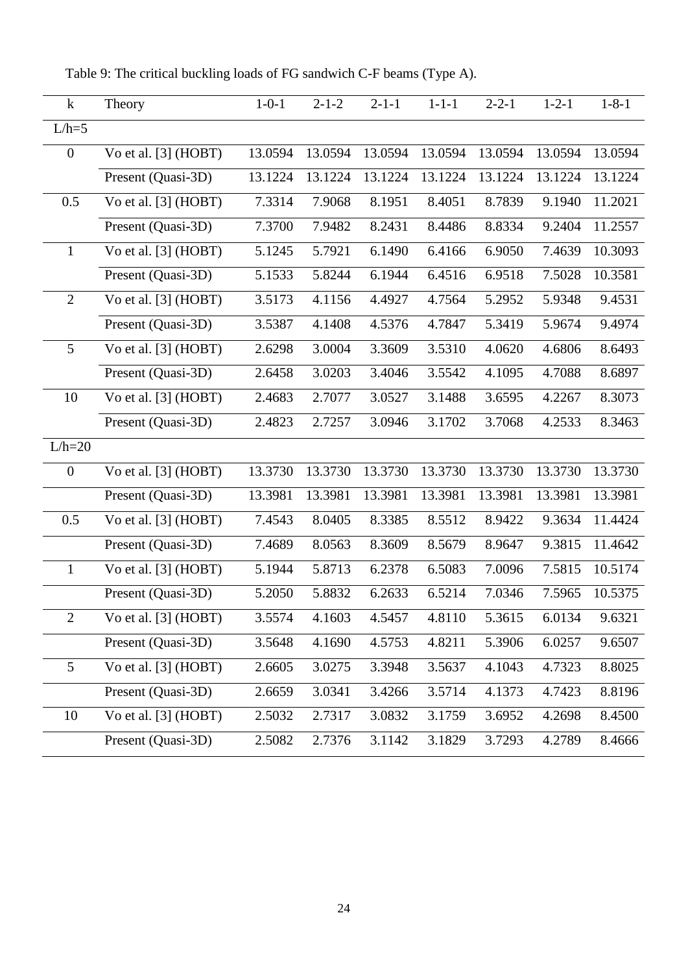| $\bf k$          | Theory                 | $1 - 0 - 1$ | $2 - 1 - 2$ | $2 - 1 - 1$ | $1 - 1 - 1$ | $2 - 2 - 1$ | $1 - 2 - 1$ | $1 - 8 - 1$ |
|------------------|------------------------|-------------|-------------|-------------|-------------|-------------|-------------|-------------|
| $L/h=5$          |                        |             |             |             |             |             |             |             |
| $\boldsymbol{0}$ | Vo et al. [3] (HOBT)   | 13.0594     | 13.0594     | 13.0594     | 13.0594     | 13.0594     | 13.0594     | 13.0594     |
|                  | Present (Quasi-3D)     | 13.1224     | 13.1224     | 13.1224     | 13.1224     | 13.1224     | 13.1224     | 13.1224     |
| 0.5              | Vo et al. [3] (HOBT)   | 7.3314      | 7.9068      | 8.1951      | 8.4051      | 8.7839      | 9.1940      | 11.2021     |
|                  | Present (Quasi-3D)     | 7.3700      | 7.9482      | 8.2431      | 8.4486      | 8.8334      | 9.2404      | 11.2557     |
| $\mathbf{1}$     | Vo et al. [3] (HOBT)   | 5.1245      | 5.7921      | 6.1490      | 6.4166      | 6.9050      | 7.4639      | 10.3093     |
|                  | Present (Quasi-3D)     | 5.1533      | 5.8244      | 6.1944      | 6.4516      | 6.9518      | 7.5028      | 10.3581     |
| $\overline{2}$   | Vo et al. $[3]$ (HOBT) | 3.5173      | 4.1156      | 4.4927      | 4.7564      | 5.2952      | 5.9348      | 9.4531      |
|                  | Present (Quasi-3D)     | 3.5387      | 4.1408      | 4.5376      | 4.7847      | 5.3419      | 5.9674      | 9.4974      |
| 5                | Vo et al. [3] (HOBT)   | 2.6298      | 3.0004      | 3.3609      | 3.5310      | 4.0620      | 4.6806      | 8.6493      |
|                  | Present (Quasi-3D)     | 2.6458      | 3.0203      | 3.4046      | 3.5542      | 4.1095      | 4.7088      | 8.6897      |
| 10               | Vo et al. $[3]$ (HOBT) | 2.4683      | 2.7077      | 3.0527      | 3.1488      | 3.6595      | 4.2267      | 8.3073      |
|                  | Present (Quasi-3D)     | 2.4823      | 2.7257      | 3.0946      | 3.1702      | 3.7068      | 4.2533      | 8.3463      |
| $L/h=20$         |                        |             |             |             |             |             |             |             |
| $\overline{0}$   | Vo et al. [3] (HOBT)   | 13.3730     | 13.3730     | 13.3730     | 13.3730     | 13.3730     | 13.3730     | 13.3730     |
|                  | Present (Quasi-3D)     | 13.3981     | 13.3981     | 13.3981     | 13.3981     | 13.3981     | 13.3981     | 13.3981     |
| 0.5              | Vo et al. [3] (HOBT)   | 7.4543      | 8.0405      | 8.3385      | 8.5512      | 8.9422      | 9.3634      | 11.4424     |
|                  | Present (Quasi-3D)     | 7.4689      | 8.0563      | 8.3609      | 8.5679      | 8.9647      | 9.3815      | 11.4642     |
| $\mathbf{1}$     | Vo et al. [3] (HOBT)   | 5.1944      | 5.8713      | 6.2378      | 6.5083      | 7.0096      | 7.5815      | 10.5174     |
|                  | Present (Quasi-3D)     | 5.2050      | 5.8832      | 6.2633      | 6.5214      | 7.0346      | 7.5965      | 10.5375     |
| $\overline{2}$   | Vo et al. [3] (HOBT)   | 3.5574      | 4.1603      | 4.5457      | 4.8110      | 5.3615      | 6.0134      | 9.6321      |
|                  | Present (Quasi-3D)     | 3.5648      | 4.1690      | 4.5753      | 4.8211      | 5.3906      | 6.0257      | 9.6507      |
| 5                | Vo et al. $[3]$ (HOBT) | 2.6605      | 3.0275      | 3.3948      | 3.5637      | 4.1043      | 4.7323      | 8.8025      |
|                  | Present (Quasi-3D)     | 2.6659      | 3.0341      | 3.4266      | 3.5714      | 4.1373      | 4.7423      | 8.8196      |
| 10               | Vo et al. [3] (HOBT)   | 2.5032      | 2.7317      | 3.0832      | 3.1759      | 3.6952      | 4.2698      | 8.4500      |
|                  | Present (Quasi-3D)     | 2.5082      | 2.7376      | 3.1142      | 3.1829      | 3.7293      | 4.2789      | 8.4666      |
|                  |                        |             |             |             |             |             |             |             |

<span id="page-24-0"></span>Table 9: The critical buckling loads of FG sandwich C-F beams (Type A).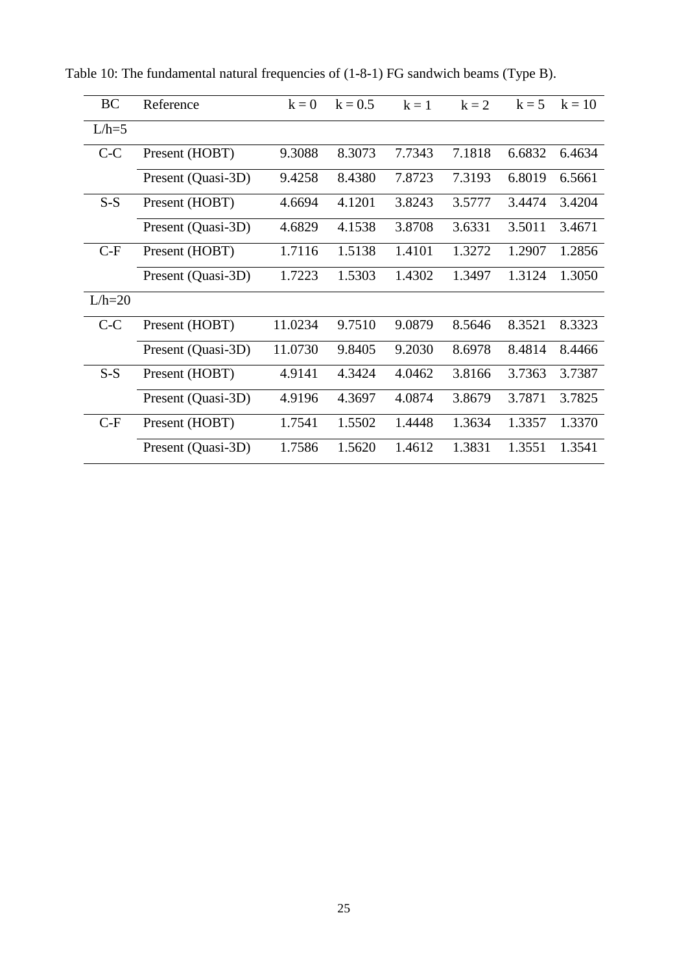| <b>BC</b> | Reference          | $k = 0$ | $k = 0.5$ | $k = 1$ | $k = 2$ | $k = 5$ | $k = 10$ |
|-----------|--------------------|---------|-----------|---------|---------|---------|----------|
| $L/h=5$   |                    |         |           |         |         |         |          |
| $C-C$     | Present (HOBT)     | 9.3088  | 8.3073    | 7.7343  | 7.1818  | 6.6832  | 6.4634   |
|           | Present (Quasi-3D) | 9.4258  | 8.4380    | 7.8723  | 7.3193  | 6.8019  | 6.5661   |
| $S-S$     | Present (HOBT)     | 4.6694  | 4.1201    | 3.8243  | 3.5777  | 3.4474  | 3.4204   |
|           | Present (Quasi-3D) | 4.6829  | 4.1538    | 3.8708  | 3.6331  | 3.5011  | 3.4671   |
| $C-F$     | Present (HOBT)     | 1.7116  | 1.5138    | 1.4101  | 1.3272  | 1.2907  | 1.2856   |
|           | Present (Quasi-3D) | 1.7223  | 1.5303    | 1.4302  | 1.3497  | 1.3124  | 1.3050   |
| $L/h=20$  |                    |         |           |         |         |         |          |
| $C-C$     | Present (HOBT)     | 11.0234 | 9.7510    | 9.0879  | 8.5646  | 8.3521  | 8.3323   |
|           | Present (Quasi-3D) | 11.0730 | 9.8405    | 9.2030  | 8.6978  | 8.4814  | 8.4466   |
| $S-S$     | Present (HOBT)     | 4.9141  | 4.3424    | 4.0462  | 3.8166  | 3.7363  | 3.7387   |
|           | Present (Quasi-3D) | 4.9196  | 4.3697    | 4.0874  | 3.8679  | 3.7871  | 3.7825   |
| $C-F$     | Present (HOBT)     | 1.7541  | 1.5502    | 1.4448  | 1.3634  | 1.3357  | 1.3370   |
|           | Present (Quasi-3D) | 1.7586  | 1.5620    | 1.4612  | 1.3831  | 1.3551  | 1.3541   |

<span id="page-25-0"></span>Table 10: The fundamental natural frequencies of (1-8-1) FG sandwich beams (Type B).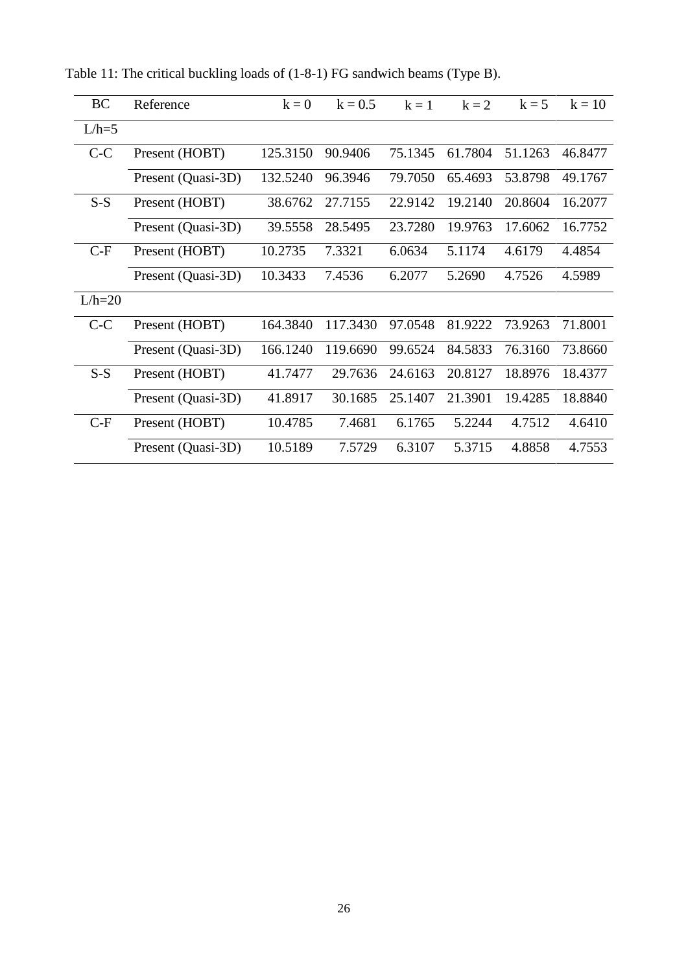| BC       | Reference          | $k = 0$  | $k = 0.5$ | $k=1$   | $k = 2$ | $k = 5$ | $k = 10$ |
|----------|--------------------|----------|-----------|---------|---------|---------|----------|
| $L/h=5$  |                    |          |           |         |         |         |          |
| $C-C$    | Present (HOBT)     | 125.3150 | 90.9406   | 75.1345 | 61.7804 | 51.1263 | 46.8477  |
|          | Present (Quasi-3D) | 132.5240 | 96.3946   | 79.7050 | 65.4693 | 53.8798 | 49.1767  |
| $S-S$    | Present (HOBT)     | 38.6762  | 27.7155   | 22.9142 | 19.2140 | 20.8604 | 16.2077  |
|          | Present (Quasi-3D) | 39.5558  | 28.5495   | 23.7280 | 19.9763 | 17.6062 | 16.7752  |
| $C-F$    | Present (HOBT)     | 10.2735  | 7.3321    | 6.0634  | 5.1174  | 4.6179  | 4.4854   |
|          | Present (Quasi-3D) | 10.3433  | 7.4536    | 6.2077  | 5.2690  | 4.7526  | 4.5989   |
| $L/h=20$ |                    |          |           |         |         |         |          |
| $C-C$    | Present (HOBT)     | 164.3840 | 117.3430  | 97.0548 | 81.9222 | 73.9263 | 71.8001  |
|          | Present (Quasi-3D) | 166.1240 | 119.6690  | 99.6524 | 84.5833 | 76.3160 | 73.8660  |
| $S-S$    | Present (HOBT)     | 41.7477  | 29.7636   | 24.6163 | 20.8127 | 18.8976 | 18.4377  |
|          | Present (Quasi-3D) | 41.8917  | 30.1685   | 25.1407 | 21.3901 | 19.4285 | 18.8840  |
| $C-F$    | Present (HOBT)     | 10.4785  | 7.4681    | 6.1765  | 5.2244  | 4.7512  | 4.6410   |
|          | Present (Quasi-3D) | 10.5189  | 7.5729    | 6.3107  | 5.3715  | 4.8858  | 4.7553   |

<span id="page-26-0"></span>Table 11: The critical buckling loads of (1-8-1) FG sandwich beams (Type B).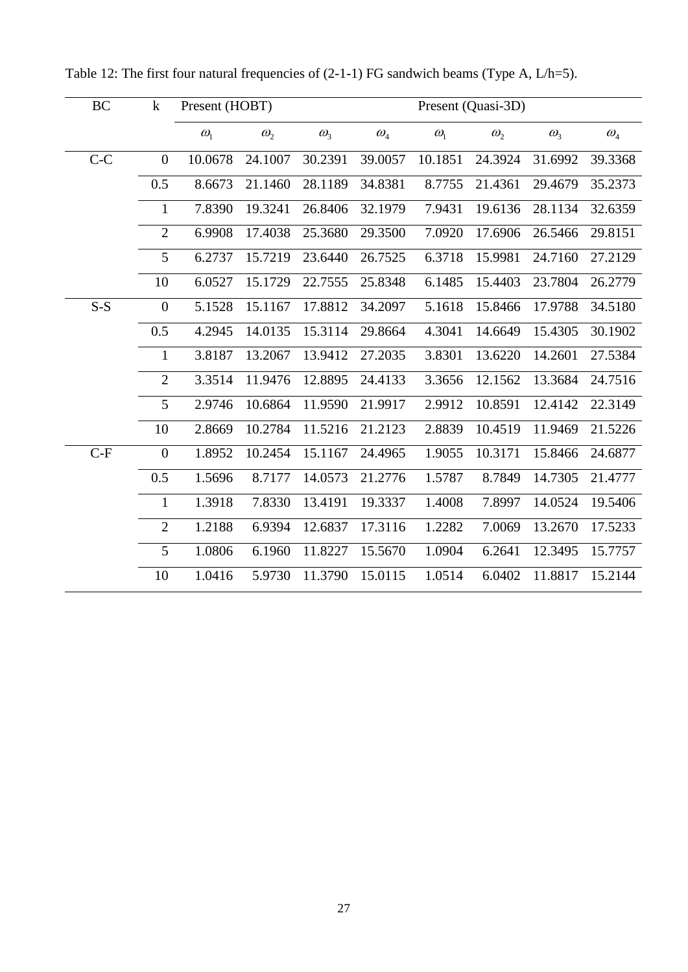| BC    | $\mathbf k$      | Present (HOBT) |              |              |              |              | Present (Quasi-3D) |              |                                 |
|-------|------------------|----------------|--------------|--------------|--------------|--------------|--------------------|--------------|---------------------------------|
|       |                  | $\omega_{1}$   | $\omega_{2}$ | $\omega_{3}$ | $\omega_{4}$ | $\omega_{1}$ | $\omega_{2}$       | $\omega_{3}$ | $\omega_{\scriptscriptstyle 4}$ |
| $C-C$ | $\boldsymbol{0}$ | 10.0678        | 24.1007      | 30.2391      | 39.0057      | 10.1851      | 24.3924            | 31.6992      | 39.3368                         |
|       | 0.5              | 8.6673         | 21.1460      | 28.1189      | 34.8381      | 8.7755       | 21.4361            | 29.4679      | 35.2373                         |
|       | 1                | 7.8390         | 19.3241      | 26.8406      | 32.1979      | 7.9431       | 19.6136            | 28.1134      | 32.6359                         |
|       | $\overline{2}$   | 6.9908         | 17.4038      | 25.3680      | 29.3500      | 7.0920       | 17.6906            | 26.5466      | 29.8151                         |
|       | 5                | 6.2737         | 15.7219      | 23.6440      | 26.7525      | 6.3718       | 15.9981            | 24.7160      | 27.2129                         |
|       | 10               | 6.0527         | 15.1729      | 22.7555      | 25.8348      | 6.1485       | 15.4403            | 23.7804      | 26.2779                         |
| $S-S$ | $\overline{0}$   | 5.1528         | 15.1167      | 17.8812      | 34.2097      | 5.1618       | 15.8466            | 17.9788      | 34.5180                         |
|       | 0.5              | 4.2945         | 14.0135      | 15.3114      | 29.8664      | 4.3041       | 14.6649            | 15.4305      | 30.1902                         |
|       | $\mathbf{1}$     | 3.8187         | 13.2067      | 13.9412      | 27.2035      | 3.8301       | 13.6220            | 14.2601      | 27.5384                         |
|       | $\overline{2}$   | 3.3514         | 11.9476      | 12.8895      | 24.4133      | 3.3656       | 12.1562            | 13.3684      | 24.7516                         |
|       | 5                | 2.9746         | 10.6864      | 11.9590      | 21.9917      | 2.9912       | 10.8591            | 12.4142      | 22.3149                         |
|       | 10               | 2.8669         | 10.2784      | 11.5216      | 21.2123      | 2.8839       | 10.4519            | 11.9469      | 21.5226                         |
| $C-F$ | $\boldsymbol{0}$ | 1.8952         | 10.2454      | 15.1167      | 24.4965      | 1.9055       | 10.3171            | 15.8466      | 24.6877                         |
|       | 0.5              | 1.5696         | 8.7177       | 14.0573      | 21.2776      | 1.5787       | 8.7849             | 14.7305      | 21.4777                         |
|       | $\mathbf{1}$     | 1.3918         | 7.8330       | 13.4191      | 19.3337      | 1.4008       | 7.8997             | 14.0524      | 19.5406                         |
|       | $\overline{2}$   | 1.2188         | 6.9394       | 12.6837      | 17.3116      | 1.2282       | 7.0069             | 13.2670      | 17.5233                         |
|       | 5                | 1.0806         | 6.1960       | 11.8227      | 15.5670      | 1.0904       | 6.2641             | 12.3495      | 15.7757                         |
|       | 10               | 1.0416         | 5.9730       | 11.3790      | 15.0115      | 1.0514       | 6.0402             | 11.8817      | 15.2144                         |

<span id="page-27-0"></span>Table 12: The first four natural frequencies of  $(2-1-1)$  FG sandwich beams (Type A, L/h=5).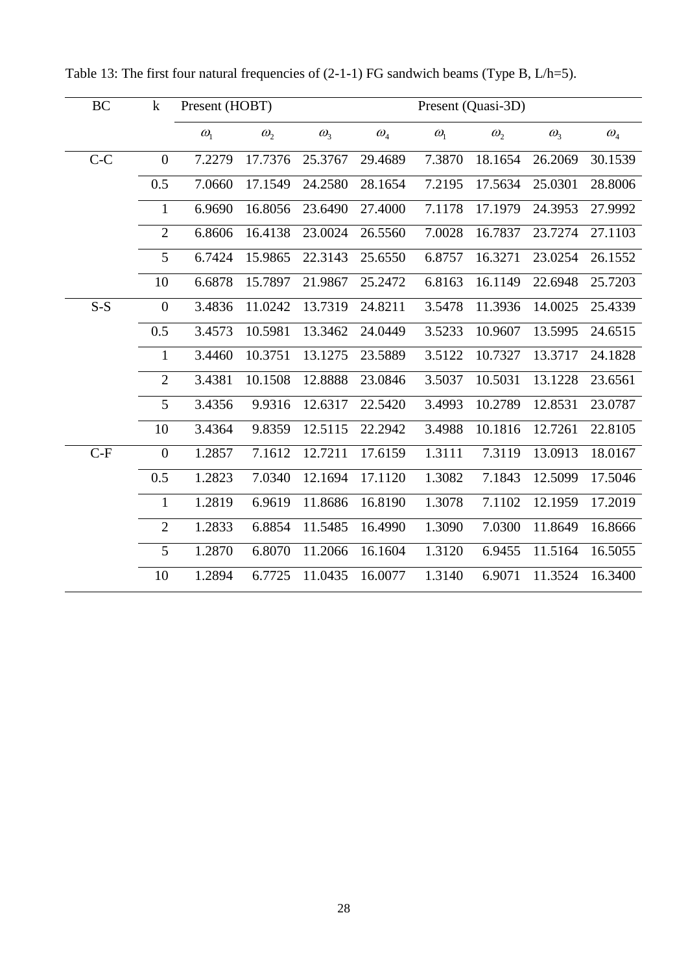| BC    | $\bf k$          | Present (HOBT) |              |              |                                 |              | Present (Quasi-3D) |              |                                 |
|-------|------------------|----------------|--------------|--------------|---------------------------------|--------------|--------------------|--------------|---------------------------------|
|       |                  | $\omega_{1}$   | $\omega_{2}$ | $\omega_{3}$ | $\omega_{\scriptscriptstyle 4}$ | $\omega_{1}$ | $\omega_{2}$       | $\omega_{3}$ | $\omega_{\scriptscriptstyle 4}$ |
| $C-C$ | $\overline{0}$   | 7.2279         | 17.7376      | 25.3767      | 29.4689                         | 7.3870       | 18.1654            | 26.2069      | 30.1539                         |
|       | 0.5              | 7.0660         | 17.1549      | 24.2580      | 28.1654                         | 7.2195       | 17.5634            | 25.0301      | 28.8006                         |
|       | 1                | 6.9690         | 16.8056      | 23.6490      | 27.4000                         | 7.1178       | 17.1979            | 24.3953      | 27.9992                         |
|       | $\overline{2}$   | 6.8606         | 16.4138      | 23.0024      | 26.5560                         | 7.0028       | 16.7837            | 23.7274      | 27.1103                         |
|       | 5                | 6.7424         | 15.9865      | 22.3143      | 25.6550                         | 6.8757       | 16.3271            | 23.0254      | 26.1552                         |
|       | 10               | 6.6878         | 15.7897      | 21.9867      | 25.2472                         | 6.8163       | 16.1149            | 22.6948      | 25.7203                         |
| $S-S$ | $\boldsymbol{0}$ | 3.4836         | 11.0242      | 13.7319      | 24.8211                         | 3.5478       | 11.3936            | 14.0025      | 25.4339                         |
|       | 0.5              | 3.4573         | 10.5981      | 13.3462      | 24.0449                         | 3.5233       | 10.9607            | 13.5995      | 24.6515                         |
|       | 1                | 3.4460         | 10.3751      | 13.1275      | 23.5889                         | 3.5122       | 10.7327            | 13.3717      | 24.1828                         |
|       | $\overline{2}$   | 3.4381         | 10.1508      | 12.8888      | 23.0846                         | 3.5037       | 10.5031            | 13.1228      | 23.6561                         |
|       | 5                | 3.4356         | 9.9316       | 12.6317      | 22.5420                         | 3.4993       | 10.2789            | 12.8531      | 23.0787                         |
|       | 10               | 3.4364         | 9.8359       | 12.5115      | 22.2942                         | 3.4988       | 10.1816            | 12.7261      | 22.8105                         |
| $C-F$ | $\boldsymbol{0}$ | 1.2857         | 7.1612       | 12.7211      | 17.6159                         | 1.3111       | 7.3119             | 13.0913      | 18.0167                         |
|       | 0.5              | 1.2823         | 7.0340       | 12.1694      | 17.1120                         | 1.3082       | 7.1843             | 12.5099      | 17.5046                         |
|       | $\mathbf{1}$     | 1.2819         | 6.9619       | 11.8686      | 16.8190                         | 1.3078       | 7.1102             | 12.1959      | 17.2019                         |
|       | $\overline{2}$   | 1.2833         | 6.8854       | 11.5485      | 16.4990                         | 1.3090       | 7.0300             | 11.8649      | 16.8666                         |
|       | 5                | 1.2870         | 6.8070       | 11.2066      | 16.1604                         | 1.3120       | 6.9455             | 11.5164      | 16.5055                         |
|       | 10               | 1.2894         | 6.7725       | 11.0435      | 16.0077                         | 1.3140       | 6.9071             | 11.3524      | 16.3400                         |

Table 13: The first four natural frequencies of  $(2-1-1)$  FG sandwich beams (Type B, L/h=5).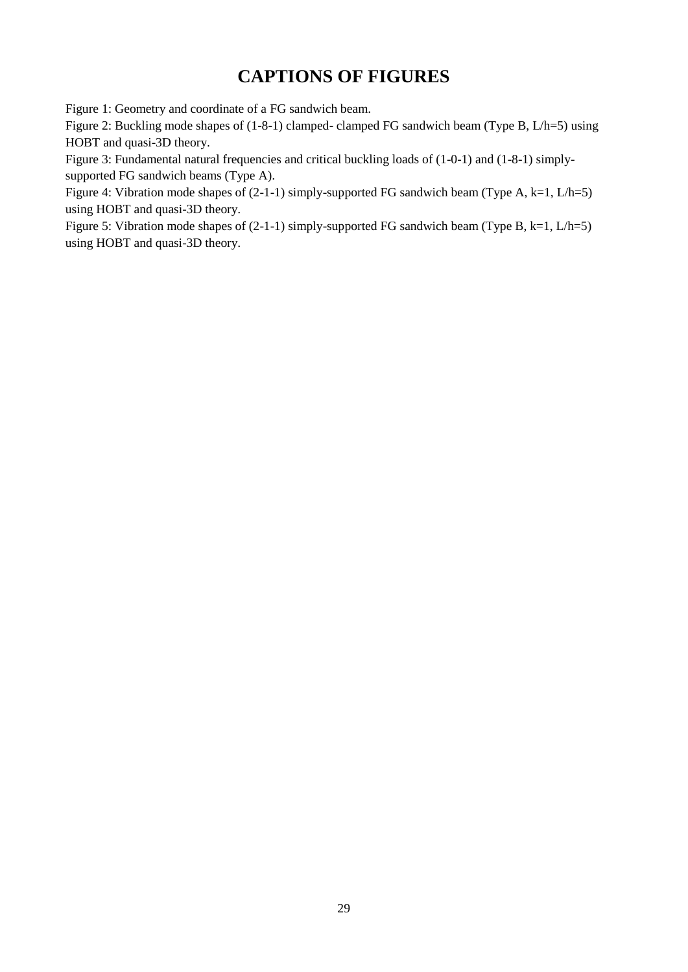# **CAPTIONS OF FIGURES**

[Figure 1: Geometry and coordinate of a FG sandwich beam.](#page-29-0)

[Figure 2: Buckling mode shapes of \(1-8-1\) clamped- clamped FG sandwich beam \(Type B, L/h=5\) using](#page-30-0)  [HOBT and quasi-3D theory.](#page-30-0)

Figure 3: Fundamental natural frequencies and critical buckling loads of  $(1-0-1)$  and  $(1-8-1)$  simply[supported FG sandwich beams \(Type A\).](#page-31-0)

[Figure 4: Vibration mode shapes of \(2-1-1\) simply-supported FG sandwich beam \(Type A, k=1, L/h=5\)](#page-33-0)  [using HOBT and quasi-3D theory.](#page-33-0)

<span id="page-29-0"></span>Figure 5: Vibration mode shapes of  $(2-1-1)$  simply-supported FG sandwich beam (Type B, k=1, L/h=5) [using HOBT and quasi-3D theory.](#page-35-0)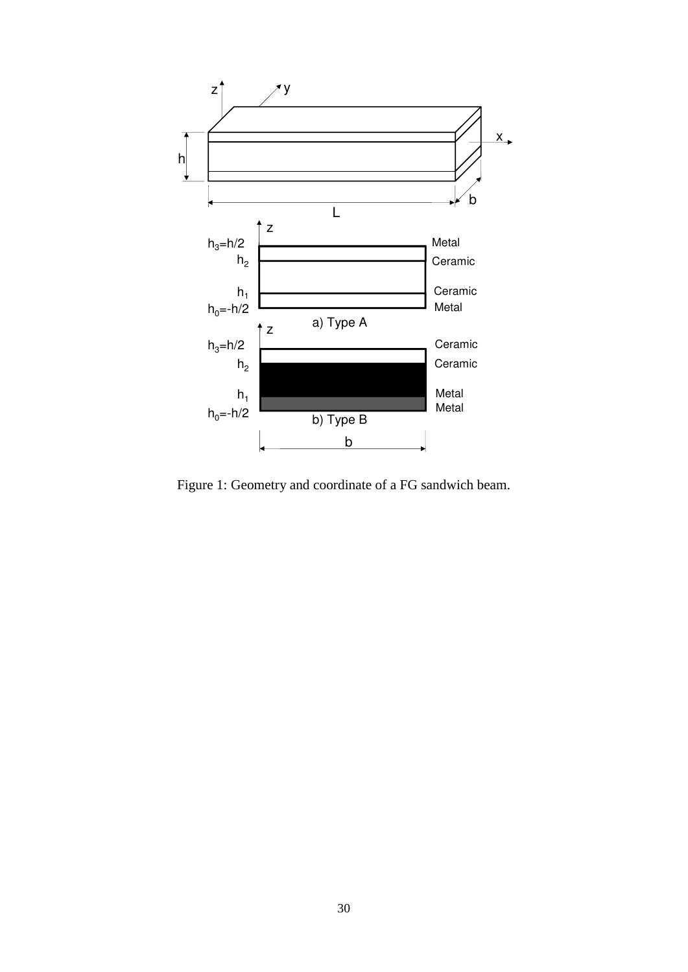

<span id="page-30-0"></span>Figure 1: Geometry and coordinate of a FG sandwich beam.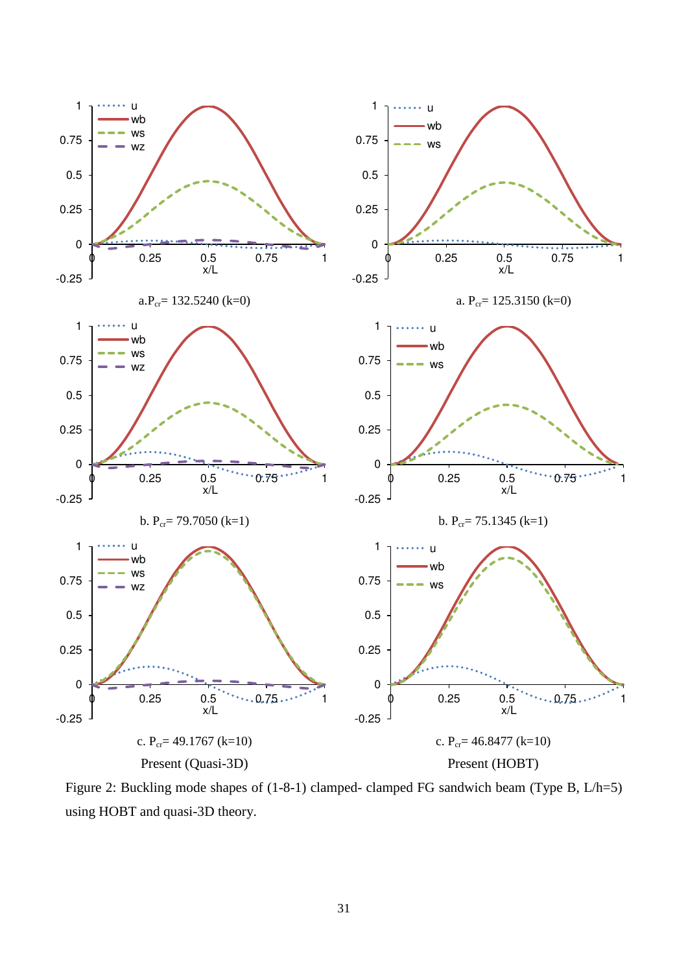

<span id="page-31-0"></span>Figure 2: Buckling mode shapes of (1-8-1) clamped- clamped FG sandwich beam (Type B, L/h=5) using HOBT and quasi-3D theory.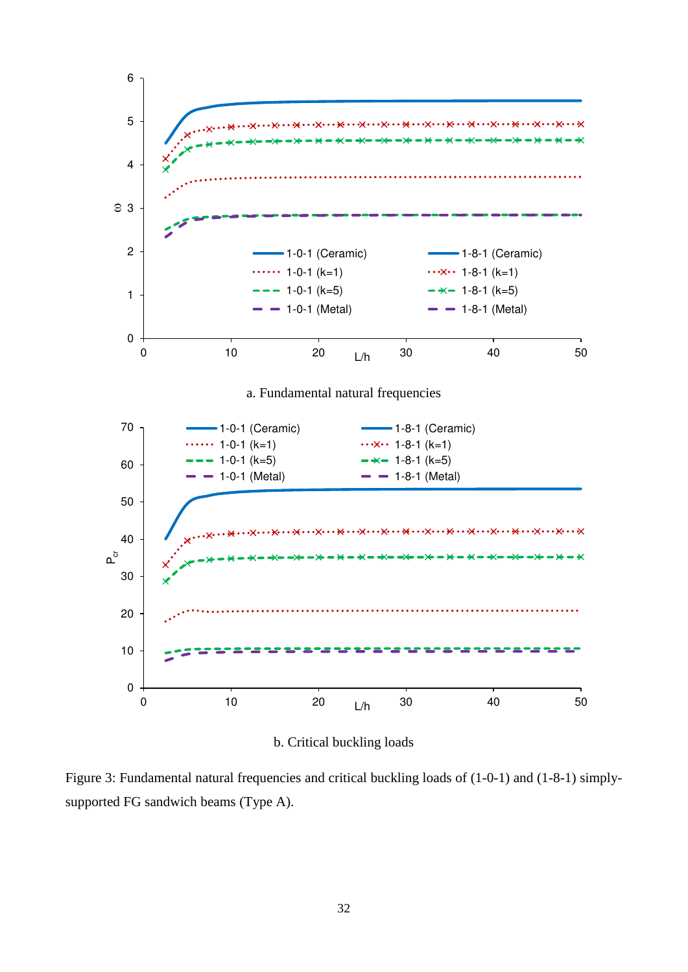

b. Critical buckling loads

Figure 3: Fundamental natural frequencies and critical buckling loads of (1-0-1) and (1-8-1) simplysupported FG sandwich beams (Type A).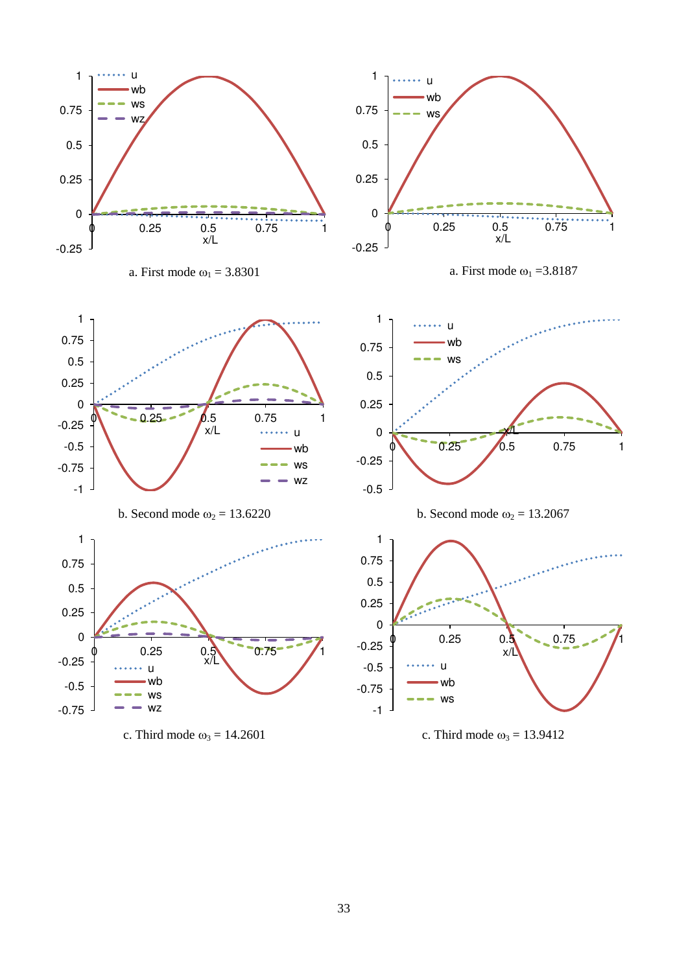<span id="page-33-0"></span>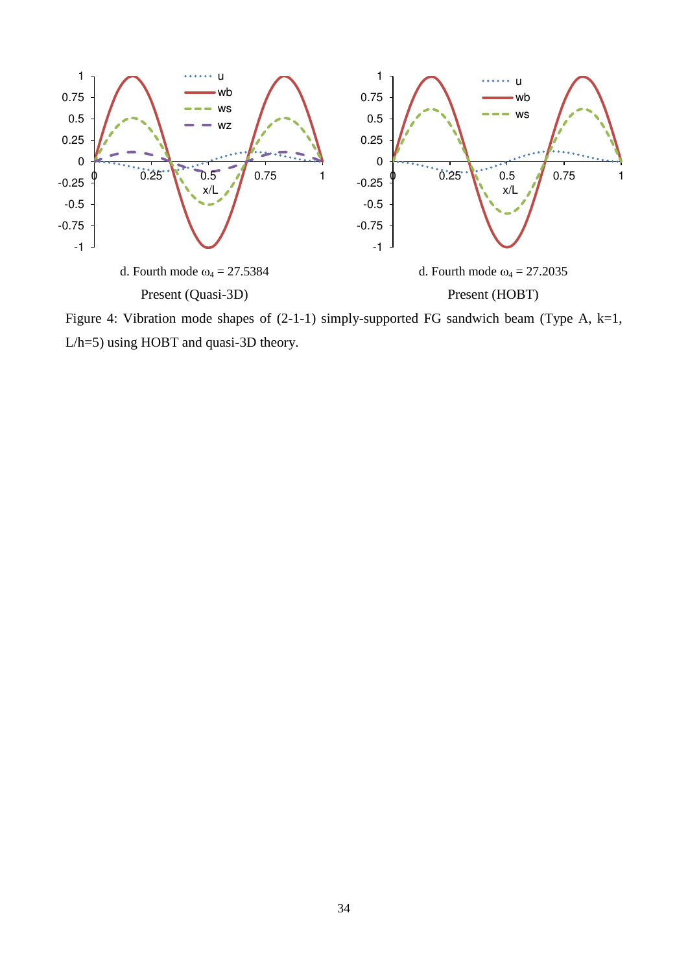

Figure 4: Vibration mode shapes of (2-1-1) simply-supported FG sandwich beam (Type A, k=1, L/h=5) using HOBT and quasi-3D theory.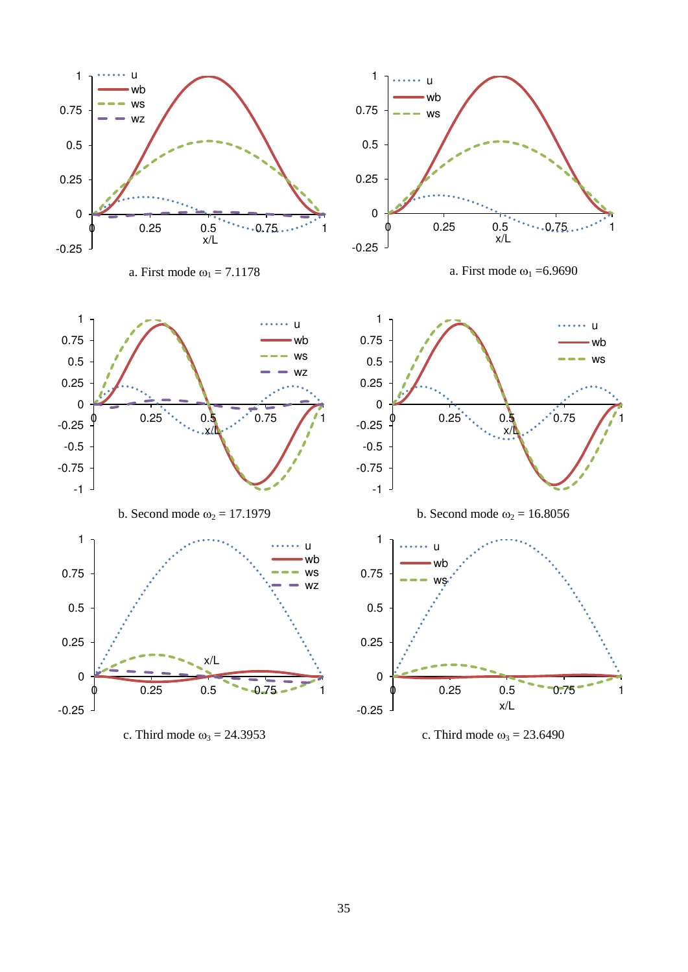

a. First mode  $\omega_1 = 7.1178$  a. First mode  $\omega_1 = 6.9690$ 



<span id="page-35-0"></span>